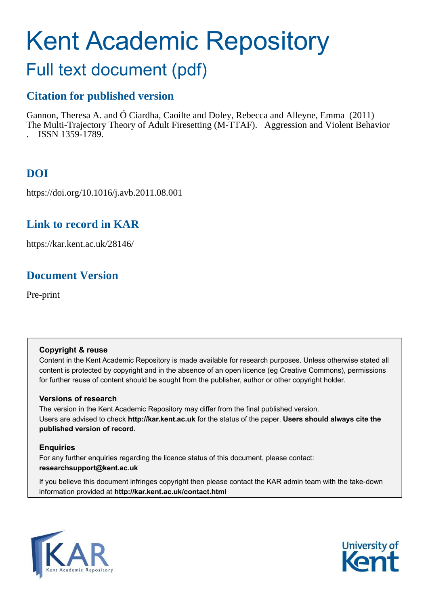# Kent Academic Repository

## Full text document (pdf)

## **Citation for published version**

Gannon, Theresa A. and Ó Ciardha, Caoilte and Doley, Rebecca and Alleyne, Emma (2011) The Multi-Trajectory Theory of Adult Firesetting (M-TTAF). Aggression and Violent Behavior . ISSN 1359-1789.

## **DOI**

https://doi.org/10.1016/j.avb.2011.08.001

## **Link to record in KAR**

https://kar.kent.ac.uk/28146/

## **Document Version**

Pre-print

#### **Copyright & reuse**

Content in the Kent Academic Repository is made available for research purposes. Unless otherwise stated all content is protected by copyright and in the absence of an open licence (eg Creative Commons), permissions for further reuse of content should be sought from the publisher, author or other copyright holder.

#### **Versions of research**

The version in the Kent Academic Repository may differ from the final published version. Users are advised to check **http://kar.kent.ac.uk** for the status of the paper. **Users should always cite the published version of record.**

#### **Enquiries**

For any further enquiries regarding the licence status of this document, please contact: **researchsupport@kent.ac.uk**

If you believe this document infringes copyright then please contact the KAR admin team with the take-down information provided at **http://kar.kent.ac.uk/contact.html**



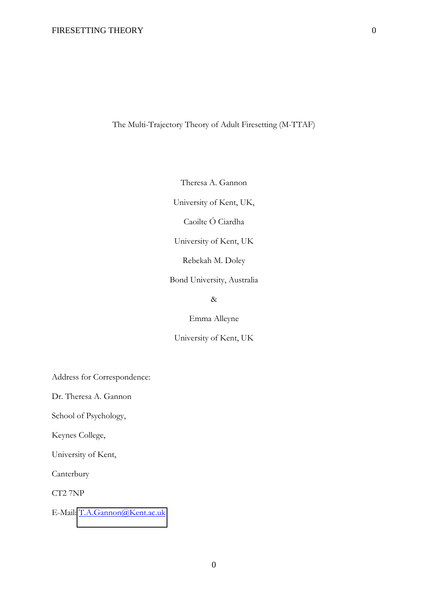The Multi-Trajectory Theory of Adult Firesetting (M-TTAF)

Theresa A. Gannon

University of Kent, UK,

Caoilte Ó Ciardha

University of Kent, UK

Rebekah M. Doley

Bond University, Australia

#### &

Emma Alleyne

University of Kent, UK

Address for Correspondence:

Dr. Theresa A. Gannon

School of Psychology,

Keynes College,

University of Kent,

Canterbury

CT2 7NP

E-Mail: [T.A.Gannon@Kent.ac.uk](mailto:T.A.Gannon@Kent.ac.uk)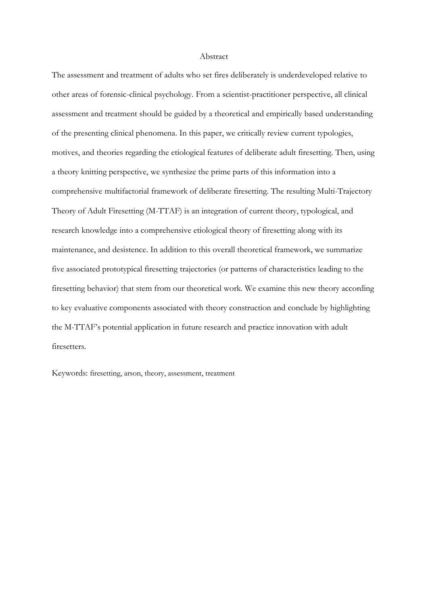#### Abstract

The assessment and treatment of adults who set fires deliberately is underdeveloped relative to other areas of forensic-clinical psychology. From a scientist-practitioner perspective, all clinical assessment and treatment should be guided by a theoretical and empirically based understanding of the presenting clinical phenomena. In this paper, we critically review current typologies, motives, and theories regarding the etiological features of deliberate adult firesetting. Then, using a theory knitting perspective, we synthesize the prime parts of this information into a comprehensive multifactorial framework of deliberate firesetting. The resulting Multi-Trajectory Theory of Adult Firesetting (M-TTAF) is an integration of current theory, typological, and research knowledge into a comprehensive etiological theory of firesetting along with its maintenance, and desistence. In addition to this overall theoretical framework, we summarize five associated prototypical firesetting trajectories (or patterns of characteristics leading to the firesetting behavior) that stem from our theoretical work. We examine this new theory according to key evaluative components associated with theory construction and conclude by highlighting the M-TTAF's potential application in future research and practice innovation with adult firesetters.

Keywords: firesetting, arson, theory, assessment, treatment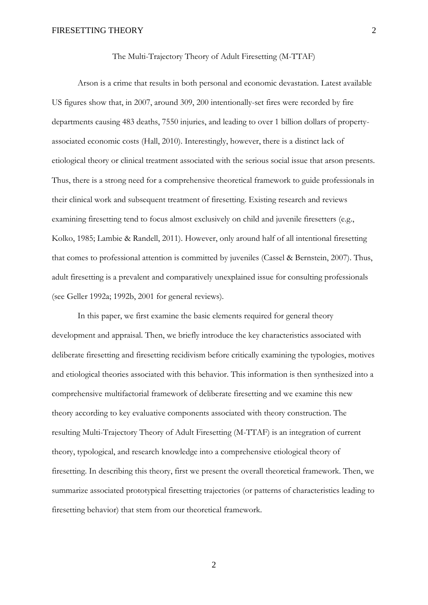#### The Multi-Trajectory Theory of Adult Firesetting (M-TTAF)

Arson is a crime that results in both personal and economic devastation. Latest available US figures show that, in 2007, around 309, 200 intentionally-set fires were recorded by fire departments causing 483 deaths, 7550 injuries, and leading to over 1 billion dollars of propertyassociated economic costs (Hall, 2010). Interestingly, however, there is a distinct lack of etiological theory or clinical treatment associated with the serious social issue that arson presents. Thus, there is a strong need for a comprehensive theoretical framework to guide professionals in their clinical work and subsequent treatment of firesetting. Existing research and reviews examining firesetting tend to focus almost exclusively on child and juvenile firesetters (e.g., Kolko, 1985; Lambie & Randell, 2011). However, only around half of all intentional firesetting that comes to professional attention is committed by juveniles (Cassel & Bernstein, 2007). Thus, adult firesetting is a prevalent and comparatively unexplained issue for consulting professionals (see Geller 1992a; 1992b, 2001 for general reviews).

In this paper, we first examine the basic elements required for general theory development and appraisal. Then, we briefly introduce the key characteristics associated with deliberate firesetting and firesetting recidivism before critically examining the typologies, motives and etiological theories associated with this behavior. This information is then synthesized into a comprehensive multifactorial framework of deliberate firesetting and we examine this new theory according to key evaluative components associated with theory construction. The resulting Multi-Trajectory Theory of Adult Firesetting (M-TTAF) is an integration of current theory, typological, and research knowledge into a comprehensive etiological theory of firesetting. In describing this theory, first we present the overall theoretical framework. Then, we summarize associated prototypical firesetting trajectories (or patterns of characteristics leading to firesetting behavior) that stem from our theoretical framework.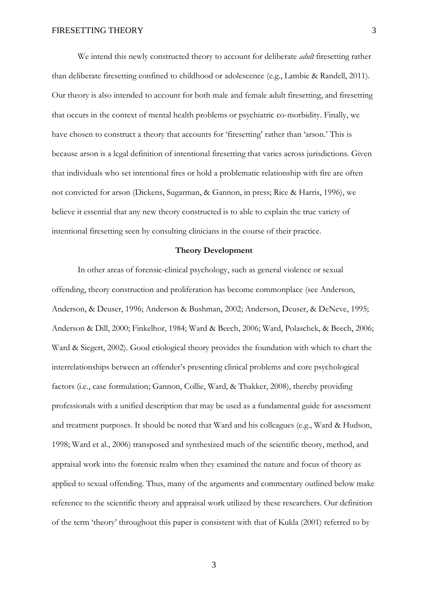We intend this newly constructed theory to account for deliberate *adult* firesetting rather than deliberate firesetting confined to childhood or adolescence (e.g., Lambie & Randell, 2011). Our theory is also intended to account for both male and female adult firesetting, and firesetting that occurs in the context of mental health problems or psychiatric co-morbidity. Finally, we have chosen to construct a theory that accounts for 'firesetting' rather than 'arson.' This is because arson is a legal definition of intentional firesetting that varies across jurisdictions. Given that individuals who set intentional fires or hold a problematic relationship with fire are often not convicted for arson (Dickens, Sugarman, & Gannon, in press; Rice & Harris, 1996), we believe it essential that any new theory constructed is to able to explain the true variety of intentional firesetting seen by consulting clinicians in the course of their practice.

#### **Theory Development**

In other areas of forensic-clinical psychology, such as general violence or sexual offending, theory construction and proliferation has become commonplace (see Anderson, Anderson, & Deuser, 1996; Anderson & Bushman, 2002; Anderson, Deuser, & DeNeve, 1995; Anderson & Dill, 2000; Finkelhor, 1984; Ward & Beech, 2006; Ward, Polaschek, & Beech, 2006; Ward & Siegert, 2002). Good etiological theory provides the foundation with which to chart the interrelationships between an offender's presenting clinical problems and core psychological factors (i.e., case formulation; Gannon, Collie, Ward, & Thakker, 2008), thereby providing professionals with a unified description that may be used as a fundamental guide for assessment and treatment purposes. It should be noted that Ward and his colleagues (e.g., Ward & Hudson, 1998; Ward et al., 2006) transposed and synthesized much of the scientific theory, method, and appraisal work into the forensic realm when they examined the nature and focus of theory as applied to sexual offending. Thus, many of the arguments and commentary outlined below make reference to the scientific theory and appraisal work utilized by these researchers. Our definition of the term ‗theory' throughout this paper is consistent with that of Kukla (2001) referred to by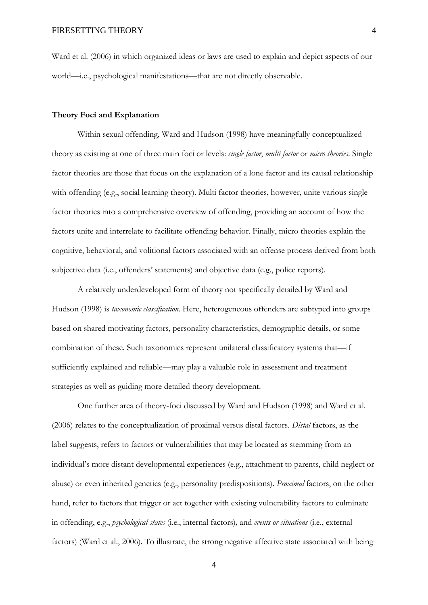Ward et al. (2006) in which organized ideas or laws are used to explain and depict aspects of our world—i.e., psychological manifestations—that are not directly observable.

#### **Theory Foci and Explanation**

 Within sexual offending, Ward and Hudson (1998) have meaningfully conceptualized theory as existing at one of three main foci or levels: *single factor*, *multi factor* or *micro theories*. Single factor theories are those that focus on the explanation of a lone factor and its causal relationship with offending (e.g., social learning theory). Multi factor theories, however, unite various single factor theories into a comprehensive overview of offending, providing an account of how the factors unite and interrelate to facilitate offending behavior. Finally, micro theories explain the cognitive, behavioral, and volitional factors associated with an offense process derived from both subjective data (i.e., offenders' statements) and objective data (e.g., police reports).

 A relatively underdeveloped form of theory not specifically detailed by Ward and Hudson (1998) is *taxonomic classification*. Here, heterogeneous offenders are subtyped into groups based on shared motivating factors, personality characteristics, demographic details, or some combination of these. Such taxonomies represent unilateral classificatory systems that—if sufficiently explained and reliable—may play a valuable role in assessment and treatment strategies as well as guiding more detailed theory development.

 One further area of theory-foci discussed by Ward and Hudson (1998) and Ward et al. (2006) relates to the conceptualization of proximal versus distal factors. *Distal* factors, as the label suggests, refers to factors or vulnerabilities that may be located as stemming from an individual's more distant developmental experiences (e.g., attachment to parents, child neglect or abuse) or even inherited genetics (e.g., personality predispositions). *Proximal* factors, on the other hand, refer to factors that trigger or act together with existing vulnerability factors to culminate in offending, e.g., *psychological states* (i.e., internal factors)*,* and *events or situations* (i.e., external factors) (Ward et al., 2006). To illustrate, the strong negative affective state associated with being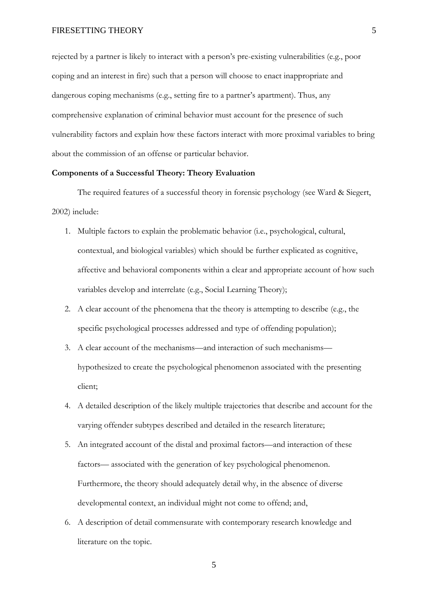rejected by a partner is likely to interact with a person's pre-existing vulnerabilities (e.g., poor coping and an interest in fire) such that a person will choose to enact inappropriate and dangerous coping mechanisms (e.g., setting fire to a partner's apartment). Thus, any comprehensive explanation of criminal behavior must account for the presence of such vulnerability factors and explain how these factors interact with more proximal variables to bring about the commission of an offense or particular behavior.

#### **Components of a Successful Theory: Theory Evaluation**

The required features of a successful theory in forensic psychology (see Ward & Siegert, 2002) include:

- 1. Multiple factors to explain the problematic behavior (i.e., psychological, cultural, contextual, and biological variables) which should be further explicated as cognitive, affective and behavioral components within a clear and appropriate account of how such variables develop and interrelate (e.g., Social Learning Theory);
- 2. A clear account of the phenomena that the theory is attempting to describe (e.g., the specific psychological processes addressed and type of offending population);
- 3. A clear account of the mechanisms—and interaction of such mechanisms hypothesized to create the psychological phenomenon associated with the presenting client;
- 4. A detailed description of the likely multiple trajectories that describe and account for the varying offender subtypes described and detailed in the research literature;
- 5. An integrated account of the distal and proximal factors—and interaction of these factors— associated with the generation of key psychological phenomenon. Furthermore, the theory should adequately detail why, in the absence of diverse developmental context, an individual might not come to offend; and,
- 6. A description of detail commensurate with contemporary research knowledge and literature on the topic.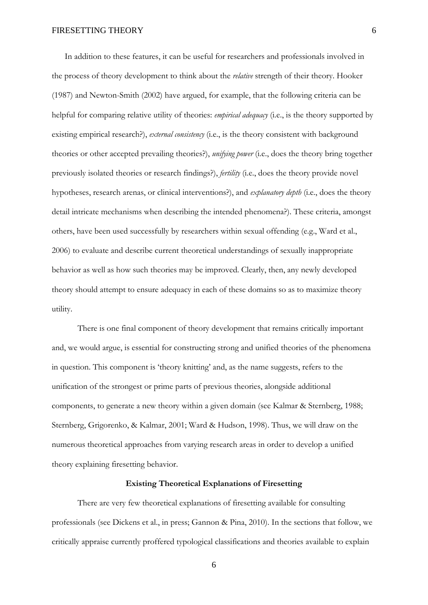In addition to these features, it can be useful for researchers and professionals involved in the process of theory development to think about the *relative* strength of their theory. Hooker (1987) and Newton-Smith (2002) have argued, for example, that the following criteria can be helpful for comparing relative utility of theories: *empirical adequacy* (i.e., is the theory supported by existing empirical research?), *external consistency* (i.e., is the theory consistent with background theories or other accepted prevailing theories?), *unifying power* (i.e., does the theory bring together previously isolated theories or research findings?), *fertility* (i.e., does the theory provide novel hypotheses, research arenas, or clinical interventions?), and *explanatory depth* (i.e., does the theory detail intricate mechanisms when describing the intended phenomena?). These criteria, amongst others, have been used successfully by researchers within sexual offending (e.g., Ward et al., 2006) to evaluate and describe current theoretical understandings of sexually inappropriate behavior as well as how such theories may be improved. Clearly, then, any newly developed theory should attempt to ensure adequacy in each of these domains so as to maximize theory utility.

 There is one final component of theory development that remains critically important and, we would argue, is essential for constructing strong and unified theories of the phenomena in question. This component is 'theory knitting' and, as the name suggests, refers to the unification of the strongest or prime parts of previous theories, alongside additional components, to generate a new theory within a given domain (see Kalmar & Sternberg, 1988; Sternberg, Grigorenko, & Kalmar, 2001; Ward & Hudson, 1998). Thus, we will draw on the numerous theoretical approaches from varying research areas in order to develop a unified theory explaining firesetting behavior.

#### **Existing Theoretical Explanations of Firesetting**

There are very few theoretical explanations of firesetting available for consulting professionals (see Dickens et al., in press; Gannon & Pina, 2010). In the sections that follow, we critically appraise currently proffered typological classifications and theories available to explain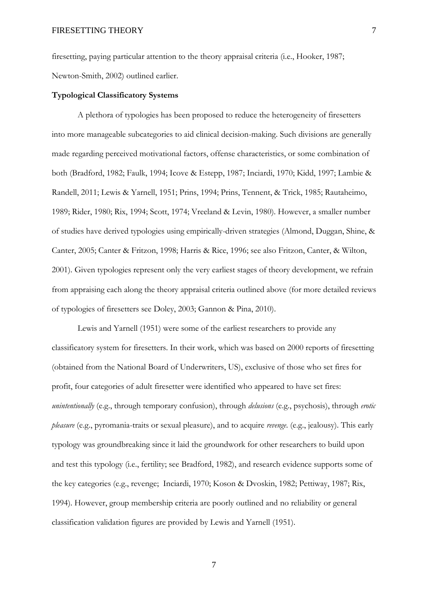firesetting, paying particular attention to the theory appraisal criteria (i.e., Hooker, 1987; Newton-Smith, 2002) outlined earlier.

#### **Typological Classificatory Systems**

 A plethora of typologies has been proposed to reduce the heterogeneity of firesetters into more manageable subcategories to aid clinical decision-making. Such divisions are generally made regarding perceived motivational factors, offense characteristics, or some combination of both (Bradford, 1982; Faulk, 1994; Icove & Estepp, 1987; Inciardi, 1970; Kidd, 1997; Lambie & Randell, 2011; Lewis & Yarnell, 1951; Prins, 1994; Prins, Tennent, & Trick, 1985; Rautaheimo, 1989; Rider, 1980; Rix, 1994; Scott, 1974; Vreeland & Levin, 1980). However, a smaller number of studies have derived typologies using empirically-driven strategies (Almond, Duggan, Shine, & Canter, 2005; Canter & Fritzon, 1998; Harris & Rice, 1996; see also Fritzon, Canter, & Wilton, 2001). Given typologies represent only the very earliest stages of theory development, we refrain from appraising each along the theory appraisal criteria outlined above (for more detailed reviews of typologies of firesetters see Doley, 2003; Gannon & Pina, 2010).

 Lewis and Yarnell (1951) were some of the earliest researchers to provide any classificatory system for firesetters. In their work, which was based on 2000 reports of firesetting (obtained from the National Board of Underwriters, US), exclusive of those who set fires for profit, four categories of adult firesetter were identified who appeared to have set fires: *unintentionally* (e.g., through temporary confusion), through *delusions* (e.g., psychosis), through *erotic pleasure* (e.g., pyromania-traits or sexual pleasure), and to acquire *revenge*. (e.g., jealousy). This early typology was groundbreaking since it laid the groundwork for other researchers to build upon and test this typology (i.e., fertility; see Bradford, 1982), and research evidence supports some of the key categories (e.g., revenge; Inciardi, 1970; Koson & Dvoskin, 1982; Pettiway, 1987; Rix, 1994). However, group membership criteria are poorly outlined and no reliability or general classification validation figures are provided by Lewis and Yarnell (1951).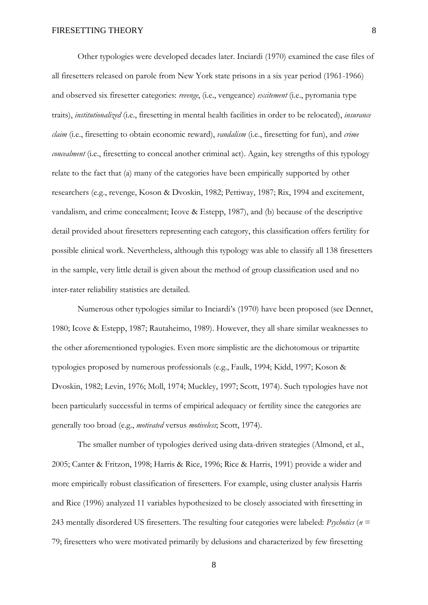Other typologies were developed decades later. Inciardi (1970) examined the case files of all firesetters released on parole from New York state prisons in a six year period (1961-1966) and observed six firesetter categories: *revenge*, (i.e., vengeance) *excitement* (i.e., pyromania type traits), *institutionalized* (i.e., firesetting in mental health facilities in order to be relocated), *insurance claim* (i.e., firesetting to obtain economic reward), *vandalism* (i.e., firesetting for fun), and *crime concealment* (i.e., firesetting to conceal another criminal act). Again, key strengths of this typology relate to the fact that (a) many of the categories have been empirically supported by other researchers (e.g., revenge, Koson & Dvoskin, 1982; Pettiway, 1987; Rix, 1994 and excitement, vandalism, and crime concealment; Icove & Estepp, 1987), and (b) because of the descriptive detail provided about firesetters representing each category, this classification offers fertility for possible clinical work. Nevertheless, although this typology was able to classify all 138 firesetters in the sample, very little detail is given about the method of group classification used and no inter-rater reliability statistics are detailed.

 Numerous other typologies similar to Inciardi's (1970) have been proposed (see Dennet, 1980; Icove & Estepp, 1987; Rautaheimo, 1989). However, they all share similar weaknesses to the other aforementioned typologies. Even more simplistic are the dichotomous or tripartite typologies proposed by numerous professionals (e.g., Faulk, 1994; Kidd, 1997; Koson & Dvoskin, 1982; Levin, 1976; Moll, 1974; Muckley, 1997; Scott, 1974). Such typologies have not been particularly successful in terms of empirical adequacy or fertility since the categories are generally too broad (e.g., *motivated* versus *motiveless*; Scott, 1974).

 The smaller number of typologies derived using data-driven strategies (Almond, et al., 2005; Canter & Fritzon, 1998; Harris & Rice, 1996; Rice & Harris, 1991) provide a wider and more empirically robust classification of firesetters. For example, using cluster analysis Harris and Rice (1996) analyzed 11 variables hypothesized to be closely associated with firesetting in 243 mentally disordered US firesetters. The resulting four categories were labeled: *Psychotics* (*n* = 79; firesetters who were motivated primarily by delusions and characterized by few firesetting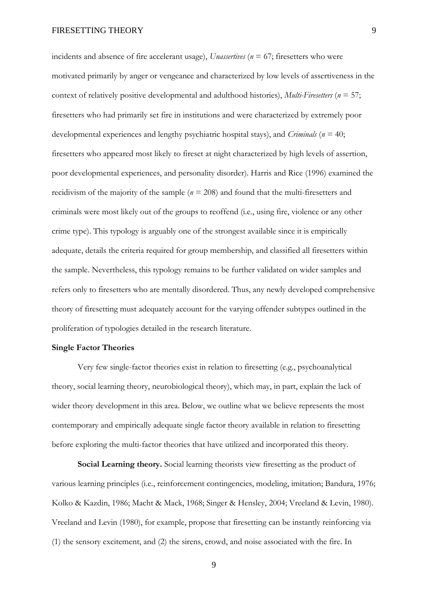incidents and absence of fire accelerant usage), *Unassertives* (*n* = 67; firesetters who were motivated primarily by anger or vengeance and characterized by low levels of assertiveness in the context of relatively positive developmental and adulthood histories), *Multi-Firesetters* (*n* = 57; firesetters who had primarily set fire in institutions and were characterized by extremely poor developmental experiences and lengthy psychiatric hospital stays), and *Criminals* (*n* = 40; firesetters who appeared most likely to fireset at night characterized by high levels of assertion, poor developmental experiences, and personality disorder). Harris and Rice (1996) examined the recidivism of the majority of the sample (*n* = 208) and found that the multi-firesetters and criminals were most likely out of the groups to reoffend (i.e., using fire, violence or any other crime type). This typology is arguably one of the strongest available since it is empirically adequate, details the criteria required for group membership, and classified all firesetters within the sample. Nevertheless, this typology remains to be further validated on wider samples and refers only to firesetters who are mentally disordered. Thus, any newly developed comprehensive theory of firesetting must adequately account for the varying offender subtypes outlined in the proliferation of typologies detailed in the research literature.

#### **Single Factor Theories**

 Very few single-factor theories exist in relation to firesetting (e.g., psychoanalytical theory, social learning theory, neurobiological theory), which may, in part, explain the lack of wider theory development in this area. Below, we outline what we believe represents the most contemporary and empirically adequate single factor theory available in relation to firesetting before exploring the multi-factor theories that have utilized and incorporated this theory.

**Social Learning theory.** Social learning theorists view firesetting as the product of various learning principles (i.e., reinforcement contingencies, modeling, imitation; Bandura, 1976; Kolko & Kazdin, 1986; Macht & Mack, 1968; Singer & Hensley, 2004; Vreeland & Levin, 1980). Vreeland and Levin (1980), for example, propose that firesetting can be instantly reinforcing via (1) the sensory excitement, and (2) the sirens, crowd, and noise associated with the fire. In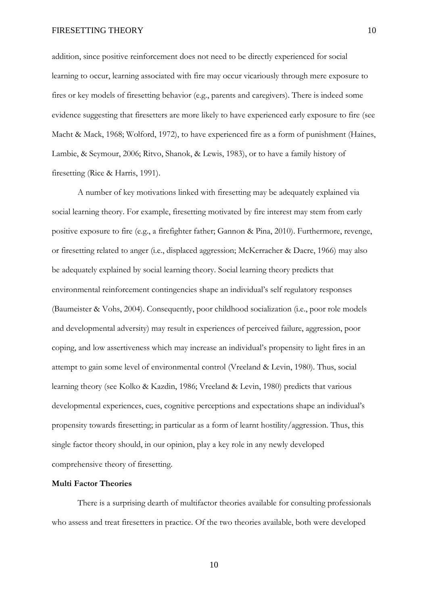addition, since positive reinforcement does not need to be directly experienced for social learning to occur, learning associated with fire may occur vicariously through mere exposure to fires or key models of firesetting behavior (e.g., parents and caregivers). There is indeed some evidence suggesting that firesetters are more likely to have experienced early exposure to fire (see Macht & Mack, 1968; Wolford, 1972), to have experienced fire as a form of punishment (Haines, Lambie, & Seymour, 2006; Ritvo, Shanok, & Lewis, 1983), or to have a family history of firesetting (Rice & Harris, 1991).

 A number of key motivations linked with firesetting may be adequately explained via social learning theory. For example, firesetting motivated by fire interest may stem from early positive exposure to fire (e.g., a firefighter father; Gannon & Pina, 2010). Furthermore, revenge, or firesetting related to anger (i.e., displaced aggression; McKerracher & Dacre, 1966) may also be adequately explained by social learning theory. Social learning theory predicts that environmental reinforcement contingencies shape an individual's self regulatory responses (Baumeister & Vohs, 2004). Consequently, poor childhood socialization (i.e., poor role models and developmental adversity) may result in experiences of perceived failure, aggression, poor coping, and low assertiveness which may increase an individual's propensity to light fires in an attempt to gain some level of environmental control (Vreeland & Levin, 1980). Thus, social learning theory (see Kolko & Kazdin, 1986; Vreeland & Levin, 1980) predicts that various developmental experiences, cues, cognitive perceptions and expectations shape an individual's propensity towards firesetting; in particular as a form of learnt hostility/aggression. Thus, this single factor theory should, in our opinion, play a key role in any newly developed comprehensive theory of firesetting.

#### **Multi Factor Theories**

 There is a surprising dearth of multifactor theories available for consulting professionals who assess and treat firesetters in practice. Of the two theories available, both were developed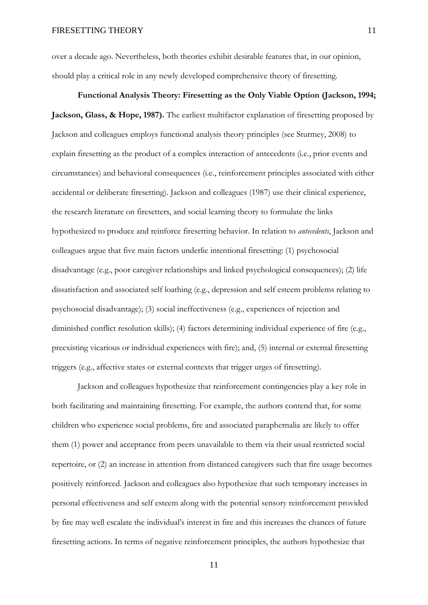over a decade ago. Nevertheless, both theories exhibit desirable features that, in our opinion, should play a critical role in any newly developed comprehensive theory of firesetting.

**Functional Analysis Theory: Firesetting as the Only Viable Option (Jackson, 1994; Jackson, Glass, & Hope, 1987).** The earliest multifactor explanation of firesetting proposed by Jackson and colleagues employs functional analysis theory principles (see Sturmey, 2008) to explain firesetting as the product of a complex interaction of antecedents (i.e., prior events and circumstances) and behavioral consequences (i.e., reinforcement principles associated with either accidental or deliberate firesetting). Jackson and colleagues (1987) use their clinical experience, the research literature on firesetters, and social learning theory to formulate the links hypothesized to produce and reinforce firesetting behavior. In relation to *antecedents*, Jackson and colleagues argue that five main factors underlie intentional firesetting: (1) psychosocial disadvantage (e.g., poor caregiver relationships and linked psychological consequences); (2) life dissatisfaction and associated self loathing (e.g., depression and self esteem problems relating to psychosocial disadvantage); (3) social ineffectiveness (e.g., experiences of rejection and diminished conflict resolution skills); (4) factors determining individual experience of fire (e.g., preexisting vicarious or individual experiences with fire); and, (5) internal or external firesetting triggers (e.g., affective states or external contexts that trigger urges of firesetting).

Jackson and colleagues hypothesize that reinforcement contingencies play a key role in both facilitating and maintaining firesetting. For example, the authors contend that, for some children who experience social problems, fire and associated paraphernalia are likely to offer them (1) power and acceptance from peers unavailable to them via their usual restricted social repertoire, or (2) an increase in attention from distanced caregivers such that fire usage becomes positively reinforced. Jackson and colleagues also hypothesize that such temporary increases in personal effectiveness and self esteem along with the potential sensory reinforcement provided by fire may well escalate the individual's interest in fire and this increases the chances of future firesetting actions. In terms of negative reinforcement principles, the authors hypothesize that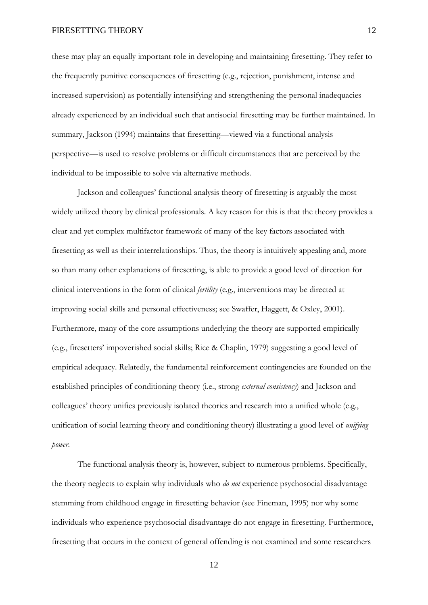these may play an equally important role in developing and maintaining firesetting. They refer to the frequently punitive consequences of firesetting (e.g., rejection, punishment, intense and increased supervision) as potentially intensifying and strengthening the personal inadequacies already experienced by an individual such that antisocial firesetting may be further maintained. In summary, Jackson (1994) maintains that firesetting—viewed via a functional analysis perspective—is used to resolve problems or difficult circumstances that are perceived by the individual to be impossible to solve via alternative methods.

Jackson and colleagues' functional analysis theory of firesetting is arguably the most widely utilized theory by clinical professionals. A key reason for this is that the theory provides a clear and yet complex multifactor framework of many of the key factors associated with firesetting as well as their interrelationships. Thus, the theory is intuitively appealing and, more so than many other explanations of firesetting, is able to provide a good level of direction for clinical interventions in the form of clinical *fertility* (e.g., interventions may be directed at improving social skills and personal effectiveness; see Swaffer, Haggett, & Oxley, 2001). Furthermore, many of the core assumptions underlying the theory are supported empirically (e.g., firesetters' impoverished social skills; Rice & Chaplin, 1979) suggesting a good level of empirical adequacy. Relatedly, the fundamental reinforcement contingencies are founded on the established principles of conditioning theory (i.e., strong *external consistency*) and Jackson and colleagues' theory unifies previously isolated theories and research into a unified whole (e.g., unification of social learning theory and conditioning theory) illustrating a good level of *unifying power*.

The functional analysis theory is, however, subject to numerous problems. Specifically, the theory neglects to explain why individuals who *do not* experience psychosocial disadvantage stemming from childhood engage in firesetting behavior (see Fineman, 1995) nor why some individuals who experience psychosocial disadvantage do not engage in firesetting. Furthermore, firesetting that occurs in the context of general offending is not examined and some researchers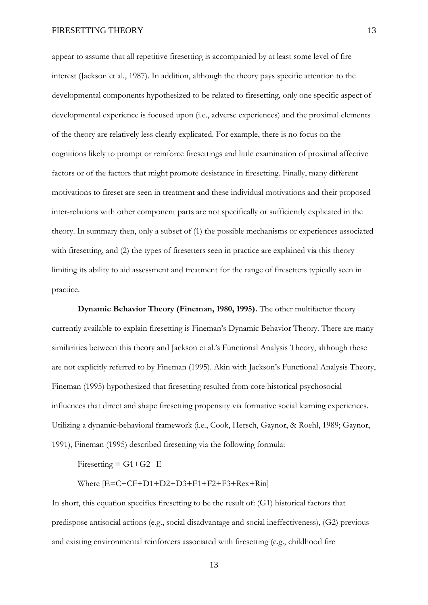appear to assume that all repetitive firesetting is accompanied by at least some level of fire interest (Jackson et al., 1987). In addition, although the theory pays specific attention to the developmental components hypothesized to be related to firesetting, only one specific aspect of developmental experience is focused upon (i.e., adverse experiences) and the proximal elements of the theory are relatively less clearly explicated. For example, there is no focus on the cognitions likely to prompt or reinforce firesettings and little examination of proximal affective factors or of the factors that might promote desistance in firesetting. Finally, many different motivations to fireset are seen in treatment and these individual motivations and their proposed inter-relations with other component parts are not specifically or sufficiently explicated in the theory. In summary then, only a subset of (1) the possible mechanisms or experiences associated with firesetting, and (2) the types of firesetters seen in practice are explained via this theory limiting its ability to aid assessment and treatment for the range of firesetters typically seen in practice.

**Dynamic Behavior Theory (Fineman, 1980, 1995).** The other multifactor theory currently available to explain firesetting is Fineman's Dynamic Behavior Theory. There are many similarities between this theory and Jackson et al.'s Functional Analysis Theory, although these are not explicitly referred to by Fineman (1995). Akin with Jackson's Functional Analysis Theory, Fineman (1995) hypothesized that firesetting resulted from core historical psychosocial influences that direct and shape firesetting propensity via formative social learning experiences. Utilizing a dynamic-behavioral framework (i.e., Cook, Hersch, Gaynor, & Roehl, 1989; Gaynor, 1991), Fineman (1995) described firesetting via the following formula:

Firesetting  $= G1 + G2 + E$ 

Where [E=C+CF+D1+D2+D3+F1+F2+F3+Rex+Rin]

In short, this equation specifies firesetting to be the result of: (G1) historical factors that predispose antisocial actions (e.g., social disadvantage and social ineffectiveness), (G2) previous and existing environmental reinforcers associated with firesetting (e.g., childhood fire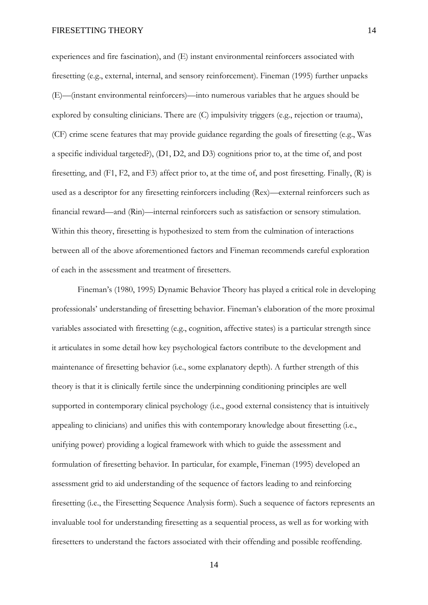experiences and fire fascination), and (E) instant environmental reinforcers associated with firesetting (e.g., external, internal, and sensory reinforcement). Fineman (1995) further unpacks (E)—(instant environmental reinforcers)—into numerous variables that he argues should be explored by consulting clinicians. There are (C) impulsivity triggers (e.g., rejection or trauma), (CF) crime scene features that may provide guidance regarding the goals of firesetting (e.g., Was a specific individual targeted?), (D1, D2, and D3) cognitions prior to, at the time of, and post firesetting, and (F1, F2, and F3) affect prior to, at the time of, and post firesetting. Finally, (R) is used as a descriptor for any firesetting reinforcers including (Rex)—external reinforcers such as financial reward—and (Rin)—internal reinforcers such as satisfaction or sensory stimulation. Within this theory, firesetting is hypothesized to stem from the culmination of interactions between all of the above aforementioned factors and Fineman recommends careful exploration of each in the assessment and treatment of firesetters.

Fineman's (1980, 1995) Dynamic Behavior Theory has played a critical role in developing professionals' understanding of firesetting behavior. Fineman's elaboration of the more proximal variables associated with firesetting (e.g., cognition, affective states) is a particular strength since it articulates in some detail how key psychological factors contribute to the development and maintenance of firesetting behavior (i.e., some explanatory depth). A further strength of this theory is that it is clinically fertile since the underpinning conditioning principles are well supported in contemporary clinical psychology (i.e., good external consistency that is intuitively appealing to clinicians) and unifies this with contemporary knowledge about firesetting (i.e., unifying power) providing a logical framework with which to guide the assessment and formulation of firesetting behavior. In particular, for example, Fineman (1995) developed an assessment grid to aid understanding of the sequence of factors leading to and reinforcing firesetting (i.e., the Firesetting Sequence Analysis form). Such a sequence of factors represents an invaluable tool for understanding firesetting as a sequential process, as well as for working with firesetters to understand the factors associated with their offending and possible reoffending.

14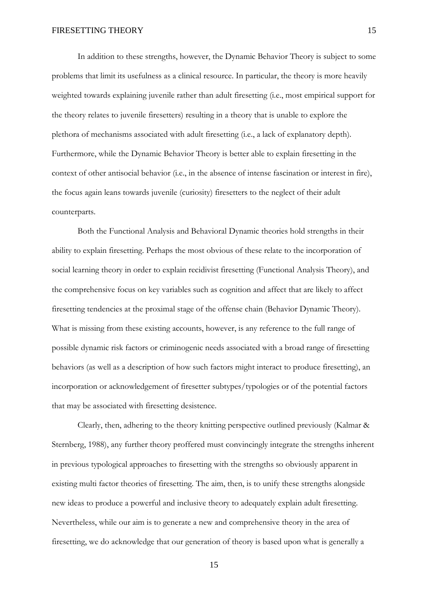In addition to these strengths, however, the Dynamic Behavior Theory is subject to some problems that limit its usefulness as a clinical resource. In particular, the theory is more heavily weighted towards explaining juvenile rather than adult firesetting (i.e., most empirical support for the theory relates to juvenile firesetters) resulting in a theory that is unable to explore the plethora of mechanisms associated with adult firesetting (i.e., a lack of explanatory depth). Furthermore, while the Dynamic Behavior Theory is better able to explain firesetting in the context of other antisocial behavior (i.e., in the absence of intense fascination or interest in fire), the focus again leans towards juvenile (curiosity) firesetters to the neglect of their adult counterparts.

Both the Functional Analysis and Behavioral Dynamic theories hold strengths in their ability to explain firesetting. Perhaps the most obvious of these relate to the incorporation of social learning theory in order to explain recidivist firesetting (Functional Analysis Theory), and the comprehensive focus on key variables such as cognition and affect that are likely to affect firesetting tendencies at the proximal stage of the offense chain (Behavior Dynamic Theory). What is missing from these existing accounts, however, is any reference to the full range of possible dynamic risk factors or criminogenic needs associated with a broad range of firesetting behaviors (as well as a description of how such factors might interact to produce firesetting), an incorporation or acknowledgement of firesetter subtypes/typologies or of the potential factors that may be associated with firesetting desistence.

Clearly, then, adhering to the theory knitting perspective outlined previously (Kalmar & Sternberg, 1988), any further theory proffered must convincingly integrate the strengths inherent in previous typological approaches to firesetting with the strengths so obviously apparent in existing multi factor theories of firesetting. The aim, then, is to unify these strengths alongside new ideas to produce a powerful and inclusive theory to adequately explain adult firesetting. Nevertheless, while our aim is to generate a new and comprehensive theory in the area of firesetting, we do acknowledge that our generation of theory is based upon what is generally a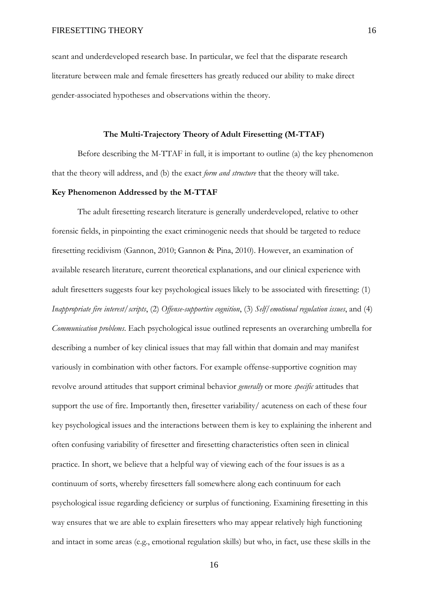scant and underdeveloped research base. In particular, we feel that the disparate research literature between male and female firesetters has greatly reduced our ability to make direct gender-associated hypotheses and observations within the theory.

#### **The Multi-Trajectory Theory of Adult Firesetting (M-TTAF)**

Before describing the M-TTAF in full, it is important to outline (a) the key phenomenon that the theory will address, and (b) the exact *form and structure* that the theory will take.

#### **Key Phenomenon Addressed by the M-TTAF**

The adult firesetting research literature is generally underdeveloped, relative to other forensic fields, in pinpointing the exact criminogenic needs that should be targeted to reduce firesetting recidivism (Gannon, 2010; Gannon & Pina, 2010). However, an examination of available research literature, current theoretical explanations, and our clinical experience with adult firesetters suggests four key psychological issues likely to be associated with firesetting: (1) *Inappropriate fire interest/scripts*, (2) *Offense-supportive cognition*, (3) *Self/emotional regulation issues*, and (4) *Communication problems*. Each psychological issue outlined represents an overarching umbrella for describing a number of key clinical issues that may fall within that domain and may manifest variously in combination with other factors. For example offense-supportive cognition may revolve around attitudes that support criminal behavior *generally* or more *specific* attitudes that support the use of fire. Importantly then, firesetter variability/ acuteness on each of these four key psychological issues and the interactions between them is key to explaining the inherent and often confusing variability of firesetter and firesetting characteristics often seen in clinical practice. In short, we believe that a helpful way of viewing each of the four issues is as a continuum of sorts, whereby firesetters fall somewhere along each continuum for each psychological issue regarding deficiency or surplus of functioning. Examining firesetting in this way ensures that we are able to explain firesetters who may appear relatively high functioning and intact in some areas (e.g., emotional regulation skills) but who, in fact, use these skills in the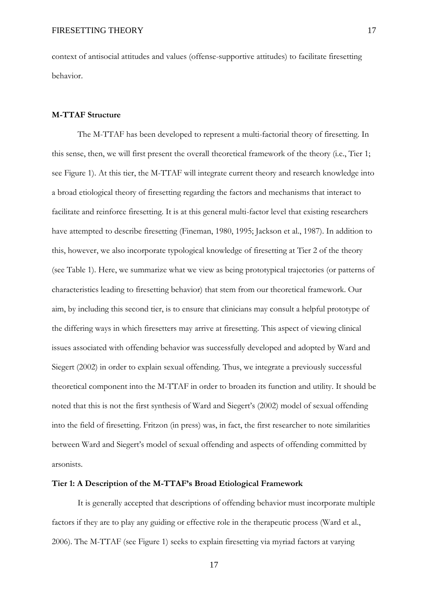context of antisocial attitudes and values (offense-supportive attitudes) to facilitate firesetting behavior.

#### **M-TTAF Structure**

The M-TTAF has been developed to represent a multi-factorial theory of firesetting. In this sense, then, we will first present the overall theoretical framework of the theory (i.e., Tier 1; see Figure 1). At this tier, the M-TTAF will integrate current theory and research knowledge into a broad etiological theory of firesetting regarding the factors and mechanisms that interact to facilitate and reinforce firesetting. It is at this general multi-factor level that existing researchers have attempted to describe firesetting (Fineman, 1980, 1995; Jackson et al., 1987). In addition to this, however, we also incorporate typological knowledge of firesetting at Tier 2 of the theory (see Table 1). Here, we summarize what we view as being prototypical trajectories (or patterns of characteristics leading to firesetting behavior) that stem from our theoretical framework. Our aim, by including this second tier, is to ensure that clinicians may consult a helpful prototype of the differing ways in which firesetters may arrive at firesetting. This aspect of viewing clinical issues associated with offending behavior was successfully developed and adopted by Ward and Siegert (2002) in order to explain sexual offending. Thus, we integrate a previously successful theoretical component into the M-TTAF in order to broaden its function and utility. It should be noted that this is not the first synthesis of Ward and Siegert's (2002) model of sexual offending into the field of firesetting. Fritzon (in press) was, in fact, the first researcher to note similarities between Ward and Siegert's model of sexual offending and aspects of offending committed by arsonists.

#### **Tier 1: A Description of the M-TTAF's Broad Etiological Framework**

 It is generally accepted that descriptions of offending behavior must incorporate multiple factors if they are to play any guiding or effective role in the therapeutic process (Ward et al., 2006). The M-TTAF (see Figure 1) seeks to explain firesetting via myriad factors at varying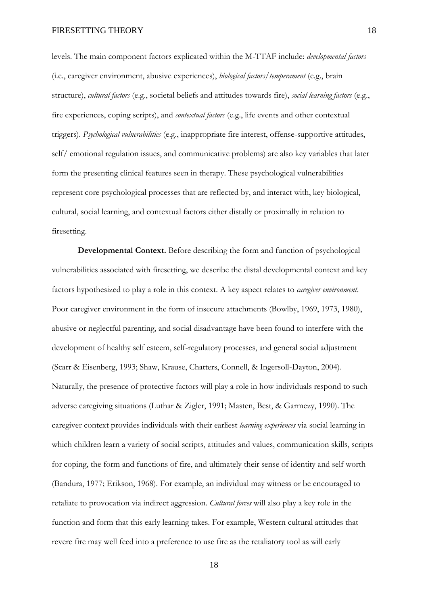levels. The main component factors explicated within the M-TTAF include: *developmental factors* (i.e., caregiver environment, abusive experiences), *biological factors/temperament* (e.g., brain structure), *cultural factors* (e.g., societal beliefs and attitudes towards fire), *social learning factors* (e.g., fire experiences, coping scripts), and *contextual factors* (e.g., life events and other contextual triggers). *Psychological vulnerabilities* (e.g., inappropriate fire interest, offense-supportive attitudes, self/ emotional regulation issues, and communicative problems) are also key variables that later form the presenting clinical features seen in therapy. These psychological vulnerabilities represent core psychological processes that are reflected by, and interact with, key biological, cultural, social learning, and contextual factors either distally or proximally in relation to firesetting.

**Developmental Context.** Before describing the form and function of psychological vulnerabilities associated with firesetting, we describe the distal developmental context and key factors hypothesized to play a role in this context. A key aspect relates to *caregiver environment*. Poor caregiver environment in the form of insecure attachments (Bowlby, 1969, 1973, 1980), abusive or neglectful parenting, and social disadvantage have been found to interfere with the development of healthy self esteem, self-regulatory processes, and general social adjustment (Scarr & Eisenberg, 1993; Shaw, Krause, Chatters, Connell, & Ingersoll-Dayton, 2004). Naturally, the presence of protective factors will play a role in how individuals respond to such adverse caregiving situations (Luthar & Zigler, 1991; Masten, Best, & Garmezy, 1990). The caregiver context provides individuals with their earliest *learning experiences* via social learning in which children learn a variety of social scripts, attitudes and values, communication skills, scripts for coping, the form and functions of fire, and ultimately their sense of identity and self worth (Bandura, 1977; Erikson, 1968). For example, an individual may witness or be encouraged to retaliate to provocation via indirect aggression. *Cultural forces* will also play a key role in the function and form that this early learning takes. For example, Western cultural attitudes that revere fire may well feed into a preference to use fire as the retaliatory tool as will early

18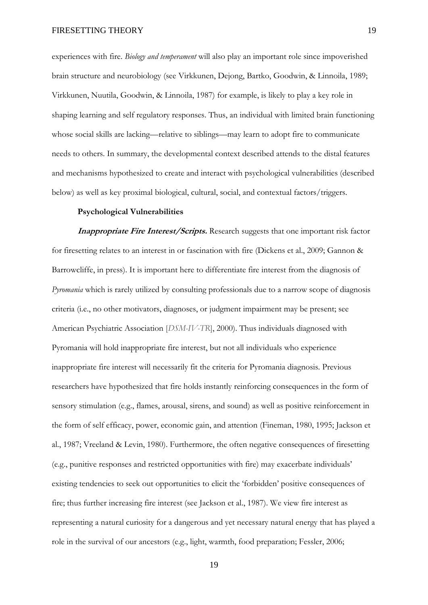brain structure and neurobiology (see Virkkunen, Dejong, Bartko, Goodwin, & Linnoila, 1989; Virkkunen, Nuutila, Goodwin, & Linnoila, 1987) for example, is likely to play a key role in shaping learning and self regulatory responses. Thus, an individual with limited brain functioning whose social skills are lacking—relative to siblings—may learn to adopt fire to communicate needs to others. In summary, the developmental context described attends to the distal features and mechanisms hypothesized to create and interact with psychological vulnerabilities (described below) as well as key proximal biological, cultural, social, and contextual factors/triggers.

#### **Psychological Vulnerabilities**

**Inappropriate Fire Interest/Scripts.** Research suggests that one important risk factor for firesetting relates to an interest in or fascination with fire (Dickens et al., 2009; Gannon & Barrowcliffe, in press). It is important here to differentiate fire interest from the diagnosis of *Pyromania* which is rarely utilized by consulting professionals due to a narrow scope of diagnosis criteria (i.e., no other motivators, diagnoses, or judgment impairment may be present; see American Psychiatric Association [*DSM-IV-TR*], 2000). Thus individuals diagnosed with Pyromania will hold inappropriate fire interest, but not all individuals who experience inappropriate fire interest will necessarily fit the criteria for Pyromania diagnosis. Previous researchers have hypothesized that fire holds instantly reinforcing consequences in the form of sensory stimulation (e.g., flames, arousal, sirens, and sound) as well as positive reinforcement in the form of self efficacy, power, economic gain, and attention (Fineman, 1980, 1995; Jackson et al., 1987; Vreeland & Levin, 1980). Furthermore, the often negative consequences of firesetting (e.g., punitive responses and restricted opportunities with fire) may exacerbate individuals' existing tendencies to seek out opportunities to elicit the 'forbidden' positive consequences of fire; thus further increasing fire interest (see Jackson et al., 1987). We view fire interest as representing a natural curiosity for a dangerous and yet necessary natural energy that has played a role in the survival of our ancestors (e.g., light, warmth, food preparation; Fessler, 2006;

experiences with fire. *Biology and temperament* will also play an important role since impoverished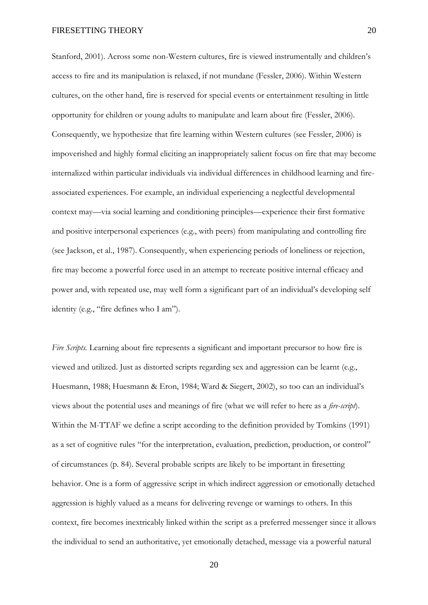Stanford, 2001). Across some non-Western cultures, fire is viewed instrumentally and children's access to fire and its manipulation is relaxed, if not mundane (Fessler, 2006). Within Western cultures, on the other hand, fire is reserved for special events or entertainment resulting in little opportunity for children or young adults to manipulate and learn about fire (Fessler, 2006). Consequently, we hypothesize that fire learning within Western cultures (see Fessler, 2006) is impoverished and highly formal eliciting an inappropriately salient focus on fire that may become internalized within particular individuals via individual differences in childhood learning and fireassociated experiences. For example, an individual experiencing a neglectful developmental context may—via social learning and conditioning principles—experience their first formative and positive interpersonal experiences (e.g., with peers) from manipulating and controlling fire (see Jackson, et al., 1987). Consequently, when experiencing periods of loneliness or rejection, fire may become a powerful force used in an attempt to recreate positive internal efficacy and power and, with repeated use, may well form a significant part of an individual's developing self identity (e.g., "fire defines who I am").

*Fire Scripts.* Learning about fire represents a significant and important precursor to how fire is viewed and utilized. Just as distorted scripts regarding sex and aggression can be learnt (e.g., Huesmann, 1988; Huesmann & Eron, 1984; Ward & Siegert, 2002), so too can an individual's views about the potential uses and meanings of fire (what we will refer to here as a *fire-script*). Within the M-TTAF we define a script according to the definition provided by Tomkins (1991) as a set of cognitive rules "for the interpretation, evaluation, prediction, production, or control" of circumstances (p. 84). Several probable scripts are likely to be important in firesetting behavior. One is a form of aggressive script in which indirect aggression or emotionally detached aggression is highly valued as a means for delivering revenge or warnings to others. In this context, fire becomes inextricably linked within the script as a preferred messenger since it allows the individual to send an authoritative, yet emotionally detached, message via a powerful natural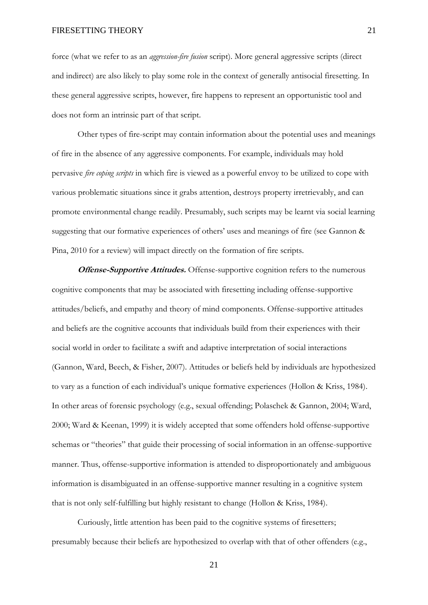force (what we refer to as an *aggression-fire fusion* script). More general aggressive scripts (direct and indirect) are also likely to play some role in the context of generally antisocial firesetting. In these general aggressive scripts, however, fire happens to represent an opportunistic tool and does not form an intrinsic part of that script.

Other types of fire-script may contain information about the potential uses and meanings of fire in the absence of any aggressive components. For example, individuals may hold pervasive *fire coping scripts* in which fire is viewed as a powerful envoy to be utilized to cope with various problematic situations since it grabs attention, destroys property irretrievably, and can promote environmental change readily. Presumably, such scripts may be learnt via social learning suggesting that our formative experiences of others' uses and meanings of fire (see Gannon & Pina, 2010 for a review) will impact directly on the formation of fire scripts.

**Offense-Supportive Attitudes.** Offense-supportive cognition refers to the numerous cognitive components that may be associated with firesetting including offense-supportive attitudes/beliefs, and empathy and theory of mind components. Offense-supportive attitudes and beliefs are the cognitive accounts that individuals build from their experiences with their social world in order to facilitate a swift and adaptive interpretation of social interactions (Gannon, Ward, Beech, & Fisher, 2007). Attitudes or beliefs held by individuals are hypothesized to vary as a function of each individual's unique formative experiences (Hollon & Kriss, 1984). In other areas of forensic psychology (e.g., sexual offending; Polaschek & Gannon, 2004; Ward, 2000; Ward & Keenan, 1999) it is widely accepted that some offenders hold offense-supportive schemas or "theories" that guide their processing of social information in an offense-supportive manner. Thus, offense-supportive information is attended to disproportionately and ambiguous information is disambiguated in an offense-supportive manner resulting in a cognitive system that is not only self-fulfilling but highly resistant to change (Hollon & Kriss, 1984).

Curiously, little attention has been paid to the cognitive systems of firesetters; presumably because their beliefs are hypothesized to overlap with that of other offenders (e.g.,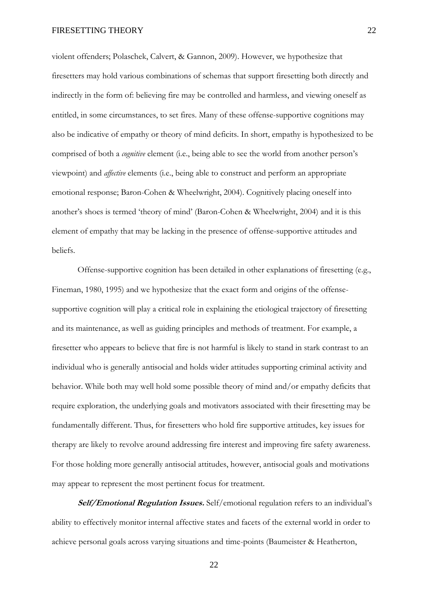violent offenders; Polaschek, Calvert, & Gannon, 2009). However, we hypothesize that firesetters may hold various combinations of schemas that support firesetting both directly and indirectly in the form of: believing fire may be controlled and harmless, and viewing oneself as entitled, in some circumstances, to set fires. Many of these offense-supportive cognitions may also be indicative of empathy or theory of mind deficits. In short, empathy is hypothesized to be comprised of both a *cognitive* element (i.e., being able to see the world from another person's viewpoint) and *affective* elements (i.e., being able to construct and perform an appropriate emotional response; Baron-Cohen & Wheelwright, 2004). Cognitively placing oneself into another's shoes is termed 'theory of mind' (Baron-Cohen & Wheelwright, 2004) and it is this element of empathy that may be lacking in the presence of offense-supportive attitudes and beliefs.

Offense-supportive cognition has been detailed in other explanations of firesetting (e.g., Fineman, 1980, 1995) and we hypothesize that the exact form and origins of the offensesupportive cognition will play a critical role in explaining the etiological trajectory of firesetting and its maintenance, as well as guiding principles and methods of treatment. For example, a firesetter who appears to believe that fire is not harmful is likely to stand in stark contrast to an individual who is generally antisocial and holds wider attitudes supporting criminal activity and behavior. While both may well hold some possible theory of mind and/or empathy deficits that require exploration, the underlying goals and motivators associated with their firesetting may be fundamentally different. Thus, for firesetters who hold fire supportive attitudes, key issues for therapy are likely to revolve around addressing fire interest and improving fire safety awareness. For those holding more generally antisocial attitudes, however, antisocial goals and motivations may appear to represent the most pertinent focus for treatment.

**Self/Emotional Regulation Issues.** Self/emotional regulation refers to an individual's ability to effectively monitor internal affective states and facets of the external world in order to achieve personal goals across varying situations and time-points (Baumeister & Heatherton,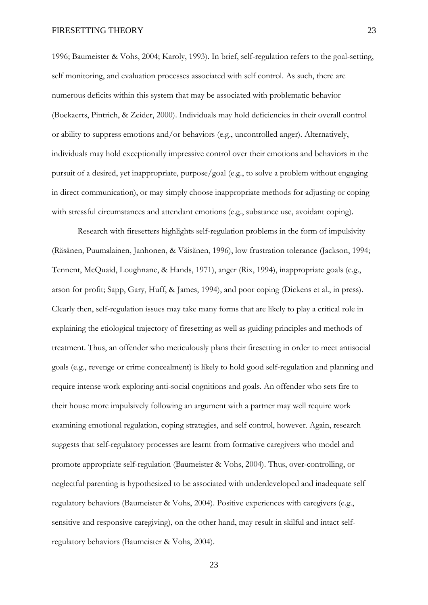1996; Baumeister & Vohs, 2004; Karoly, 1993). In brief, self-regulation refers to the goal-setting, self monitoring, and evaluation processes associated with self control. As such, there are numerous deficits within this system that may be associated with problematic behavior (Boekaerts, Pintrich, & Zeider, 2000). Individuals may hold deficiencies in their overall control or ability to suppress emotions and/or behaviors (e.g., uncontrolled anger). Alternatively, individuals may hold exceptionally impressive control over their emotions and behaviors in the pursuit of a desired, yet inappropriate, purpose/goal (e.g., to solve a problem without engaging in direct communication), or may simply choose inappropriate methods for adjusting or coping with stressful circumstances and attendant emotions (e.g., substance use, avoidant coping).

Research with firesetters highlights self-regulation problems in the form of impulsivity (Räsänen, Puumalainen, Janhonen, & Väisänen, 1996), low frustration tolerance (Jackson, 1994; Tennent, McQuaid, Loughnane, & Hands, 1971), anger (Rix, 1994), inappropriate goals (e.g., arson for profit; Sapp, Gary, Huff, & James, 1994), and poor coping (Dickens et al., in press). Clearly then, self-regulation issues may take many forms that are likely to play a critical role in explaining the etiological trajectory of firesetting as well as guiding principles and methods of treatment. Thus, an offender who meticulously plans their firesetting in order to meet antisocial goals (e.g., revenge or crime concealment) is likely to hold good self-regulation and planning and require intense work exploring anti-social cognitions and goals. An offender who sets fire to their house more impulsively following an argument with a partner may well require work examining emotional regulation, coping strategies, and self control, however. Again, research suggests that self-regulatory processes are learnt from formative caregivers who model and promote appropriate self-regulation (Baumeister & Vohs, 2004). Thus, over-controlling, or neglectful parenting is hypothesized to be associated with underdeveloped and inadequate self regulatory behaviors (Baumeister & Vohs, 2004). Positive experiences with caregivers (e.g., sensitive and responsive caregiving), on the other hand, may result in skilful and intact selfregulatory behaviors (Baumeister & Vohs, 2004).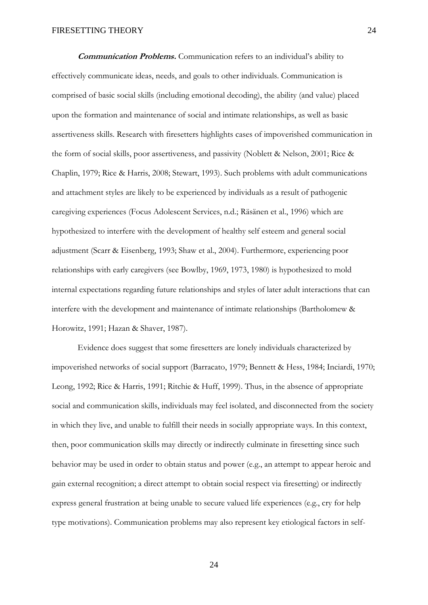**Communication Problems.** Communication refers to an individual's ability to effectively communicate ideas, needs, and goals to other individuals. Communication is comprised of basic social skills (including emotional decoding), the ability (and value) placed upon the formation and maintenance of social and intimate relationships, as well as basic assertiveness skills. Research with firesetters highlights cases of impoverished communication in the form of social skills, poor assertiveness, and passivity (Noblett & Nelson, 2001; Rice & Chaplin, 1979; Rice & Harris, 2008; Stewart, 1993). Such problems with adult communications and attachment styles are likely to be experienced by individuals as a result of pathogenic caregiving experiences (Focus Adolescent Services, n.d.; Räsänen et al., 1996) which are hypothesized to interfere with the development of healthy self esteem and general social adjustment (Scarr & Eisenberg, 1993; Shaw et al., 2004). Furthermore, experiencing poor relationships with early caregivers (see Bowlby, 1969, 1973, 1980) is hypothesized to mold internal expectations regarding future relationships and styles of later adult interactions that can interfere with the development and maintenance of intimate relationships (Bartholomew & Horowitz, 1991; Hazan & Shaver, 1987).

Evidence does suggest that some firesetters are lonely individuals characterized by impoverished networks of social support (Barracato, 1979; Bennett & Hess, 1984; Inciardi, 1970; Leong, 1992; Rice & Harris, 1991; Ritchie & Huff, 1999). Thus, in the absence of appropriate social and communication skills, individuals may feel isolated, and disconnected from the society in which they live, and unable to fulfill their needs in socially appropriate ways. In this context, then, poor communication skills may directly or indirectly culminate in firesetting since such behavior may be used in order to obtain status and power (e.g., an attempt to appear heroic and gain external recognition; a direct attempt to obtain social respect via firesetting) or indirectly express general frustration at being unable to secure valued life experiences (e.g., cry for help type motivations). Communication problems may also represent key etiological factors in self-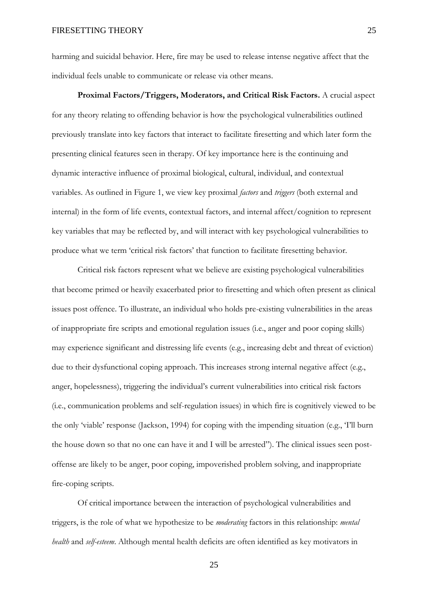harming and suicidal behavior. Here, fire may be used to release intense negative affect that the individual feels unable to communicate or release via other means.

**Proximal Factors/Triggers, Moderators, and Critical Risk Factors.** A crucial aspect for any theory relating to offending behavior is how the psychological vulnerabilities outlined previously translate into key factors that interact to facilitate firesetting and which later form the presenting clinical features seen in therapy. Of key importance here is the continuing and dynamic interactive influence of proximal biological, cultural, individual, and contextual variables. As outlined in Figure 1, we view key proximal *factors* and *triggers* (both external and internal) in the form of life events, contextual factors, and internal affect/cognition to represent key variables that may be reflected by, and will interact with key psychological vulnerabilities to produce what we term ‗critical risk factors' that function to facilitate firesetting behavior.

Critical risk factors represent what we believe are existing psychological vulnerabilities that become primed or heavily exacerbated prior to firesetting and which often present as clinical issues post offence. To illustrate, an individual who holds pre-existing vulnerabilities in the areas of inappropriate fire scripts and emotional regulation issues (i.e., anger and poor coping skills) may experience significant and distressing life events (e.g., increasing debt and threat of eviction) due to their dysfunctional coping approach. This increases strong internal negative affect (e.g., anger, hopelessness), triggering the individual's current vulnerabilities into critical risk factors (i.e., communication problems and self-regulation issues) in which fire is cognitively viewed to be the only 'viable' response (Jackson, 1994) for coping with the impending situation (e.g., T'll burn the house down so that no one can have it and I will be arrested"). The clinical issues seen postoffense are likely to be anger, poor coping, impoverished problem solving, and inappropriate fire-coping scripts.

Of critical importance between the interaction of psychological vulnerabilities and triggers, is the role of what we hypothesize to be *moderating* factors in this relationship: *mental health* and *self-esteem*. Although mental health deficits are often identified as key motivators in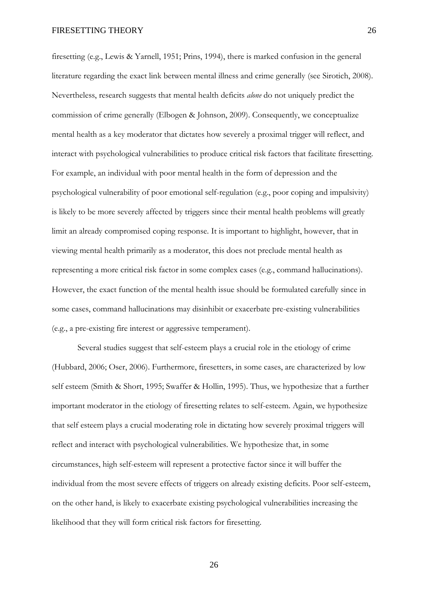firesetting (e.g., Lewis & Yarnell, 1951; Prins, 1994), there is marked confusion in the general literature regarding the exact link between mental illness and crime generally (see Sirotich, 2008). Nevertheless, research suggests that mental health deficits *alone* do not uniquely predict the commission of crime generally (Elbogen & Johnson, 2009). Consequently, we conceptualize mental health as a key moderator that dictates how severely a proximal trigger will reflect, and interact with psychological vulnerabilities to produce critical risk factors that facilitate firesetting. For example, an individual with poor mental health in the form of depression and the psychological vulnerability of poor emotional self-regulation (e.g., poor coping and impulsivity) is likely to be more severely affected by triggers since their mental health problems will greatly limit an already compromised coping response. It is important to highlight, however, that in viewing mental health primarily as a moderator, this does not preclude mental health as representing a more critical risk factor in some complex cases (e.g., command hallucinations). However, the exact function of the mental health issue should be formulated carefully since in some cases, command hallucinations may disinhibit or exacerbate pre-existing vulnerabilities (e.g., a pre-existing fire interest or aggressive temperament).

Several studies suggest that self-esteem plays a crucial role in the etiology of crime (Hubbard, 2006; Oser, 2006). Furthermore, firesetters, in some cases, are characterized by low self esteem (Smith & Short, 1995; Swaffer & Hollin, 1995). Thus, we hypothesize that a further important moderator in the etiology of firesetting relates to self-esteem. Again, we hypothesize that self esteem plays a crucial moderating role in dictating how severely proximal triggers will reflect and interact with psychological vulnerabilities. We hypothesize that, in some circumstances, high self-esteem will represent a protective factor since it will buffer the individual from the most severe effects of triggers on already existing deficits. Poor self-esteem, on the other hand, is likely to exacerbate existing psychological vulnerabilities increasing the likelihood that they will form critical risk factors for firesetting.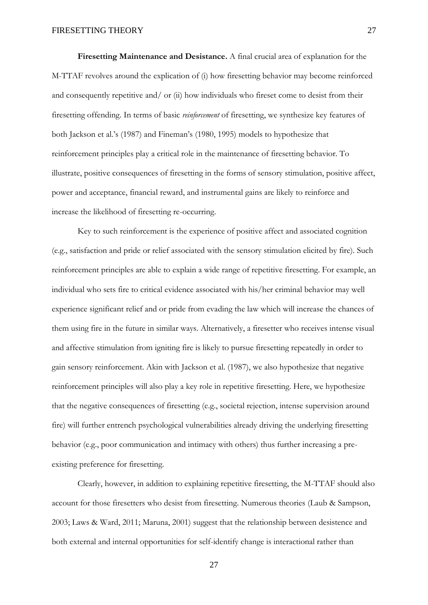**Firesetting Maintenance and Desistance.** A final crucial area of explanation for the M-TTAF revolves around the explication of (i) how firesetting behavior may become reinforced and consequently repetitive and/ or (ii) how individuals who fireset come to desist from their firesetting offending. In terms of basic *reinforcement* of firesetting, we synthesize key features of both Jackson et al.'s (1987) and Fineman's (1980, 1995) models to hypothesize that reinforcement principles play a critical role in the maintenance of firesetting behavior. To illustrate, positive consequences of firesetting in the forms of sensory stimulation, positive affect, power and acceptance, financial reward, and instrumental gains are likely to reinforce and increase the likelihood of firesetting re-occurring.

Key to such reinforcement is the experience of positive affect and associated cognition (e.g., satisfaction and pride or relief associated with the sensory stimulation elicited by fire). Such reinforcement principles are able to explain a wide range of repetitive firesetting. For example, an individual who sets fire to critical evidence associated with his/her criminal behavior may well experience significant relief and or pride from evading the law which will increase the chances of them using fire in the future in similar ways. Alternatively, a firesetter who receives intense visual and affective stimulation from igniting fire is likely to pursue firesetting repeatedly in order to gain sensory reinforcement. Akin with Jackson et al. (1987), we also hypothesize that negative reinforcement principles will also play a key role in repetitive firesetting. Here, we hypothesize that the negative consequences of firesetting (e.g., societal rejection, intense supervision around fire) will further entrench psychological vulnerabilities already driving the underlying firesetting behavior (e.g., poor communication and intimacy with others) thus further increasing a preexisting preference for firesetting.

Clearly, however, in addition to explaining repetitive firesetting, the M-TTAF should also account for those firesetters who desist from firesetting. Numerous theories (Laub & Sampson, 2003; Laws & Ward, 2011; Maruna, 2001) suggest that the relationship between desistence and both external and internal opportunities for self-identify change is interactional rather than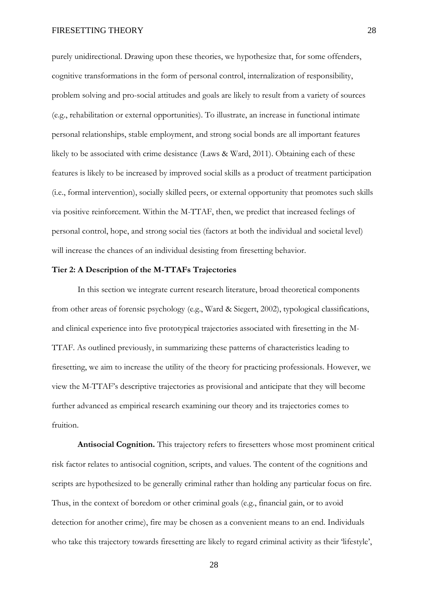purely unidirectional. Drawing upon these theories, we hypothesize that, for some offenders, cognitive transformations in the form of personal control, internalization of responsibility, problem solving and pro-social attitudes and goals are likely to result from a variety of sources (e.g., rehabilitation or external opportunities). To illustrate, an increase in functional intimate personal relationships, stable employment, and strong social bonds are all important features likely to be associated with crime desistance (Laws & Ward, 2011). Obtaining each of these features is likely to be increased by improved social skills as a product of treatment participation (i.e., formal intervention), socially skilled peers, or external opportunity that promotes such skills via positive reinforcement. Within the M-TTAF, then, we predict that increased feelings of personal control, hope, and strong social ties (factors at both the individual and societal level) will increase the chances of an individual desisting from firesetting behavior.

#### **Tier 2: A Description of the M-TTAFs Trajectories**

In this section we integrate current research literature, broad theoretical components from other areas of forensic psychology (e.g., Ward & Siegert, 2002), typological classifications, and clinical experience into five prototypical trajectories associated with firesetting in the M-TTAF. As outlined previously, in summarizing these patterns of characteristics leading to firesetting, we aim to increase the utility of the theory for practicing professionals. However, we view the M-TTAF's descriptive trajectories as provisional and anticipate that they will become further advanced as empirical research examining our theory and its trajectories comes to fruition.

**Antisocial Cognition.** This trajectory refers to firesetters whose most prominent critical risk factor relates to antisocial cognition, scripts, and values. The content of the cognitions and scripts are hypothesized to be generally criminal rather than holding any particular focus on fire. Thus, in the context of boredom or other criminal goals (e.g., financial gain, or to avoid detection for another crime), fire may be chosen as a convenient means to an end. Individuals who take this trajectory towards firesetting are likely to regard criminal activity as their 'lifestyle',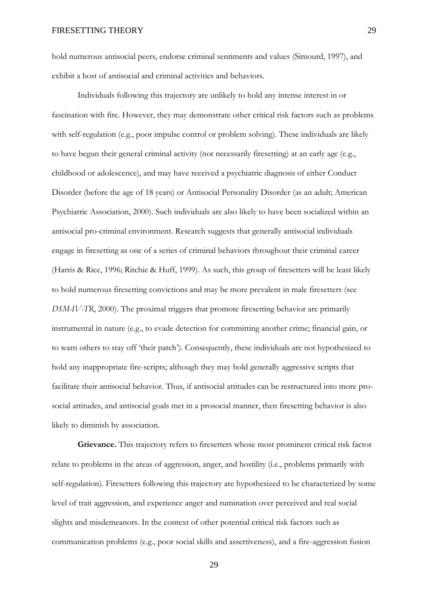hold numerous antisocial peers, endorse criminal sentiments and values (Simourd, 1997), and exhibit a host of antisocial and criminal activities and behaviors.

Individuals following this trajectory are unlikely to hold any intense interest in or fascination with fire. However, they may demonstrate other critical risk factors such as problems with self-regulation (e.g., poor impulse control or problem solving). These individuals are likely to have begun their general criminal activity (not necessarily firesetting) at an early age (e.g., childhood or adolescence), and may have received a psychiatric diagnosis of either Conduct Disorder (before the age of 18 years) or Antisocial Personality Disorder (as an adult; American Psychiatric Association, 2000). Such individuals are also likely to have been socialized within an antisocial pro-criminal environment. Research suggests that generally antisocial individuals engage in firesetting as one of a series of criminal behaviors throughout their criminal career (Harris & Rice, 1996; Ritchie & Huff, 1999). As such, this group of firesetters will be least likely to hold numerous firesetting convictions and may be more prevalent in male firesetters (see *DSM-IV-TR*, 2000). The proximal triggers that promote firesetting behavior are primarily instrumental in nature (e.g., to evade detection for committing another crime; financial gain, or to warn others to stay off ‗their patch'). Consequently, these individuals are not hypothesized to hold any inappropriate fire-scripts; although they may hold generally aggressive scripts that facilitate their antisocial behavior. Thus, if antisocial attitudes can be restructured into more prosocial attitudes, and antisocial goals met in a prosocial manner, then firesetting behavior is also likely to diminish by association.

**Grievance.** This trajectory refers to firesetters whose most prominent critical risk factor relate to problems in the areas of aggression, anger, and hostility (i.e., problems primarily with self-regulation). Firesetters following this trajectory are hypothesized to be characterized by some level of trait aggression, and experience anger and rumination over perceived and real social slights and misdemeanors. In the context of other potential critical risk factors such as communication problems (e.g., poor social skills and assertiveness), and a fire-aggression fusion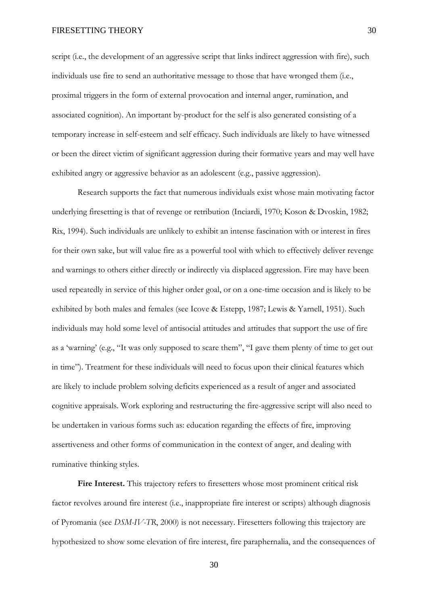script (i.e., the development of an aggressive script that links indirect aggression with fire), such individuals use fire to send an authoritative message to those that have wronged them (i.e., proximal triggers in the form of external provocation and internal anger, rumination, and associated cognition). An important by-product for the self is also generated consisting of a temporary increase in self-esteem and self efficacy. Such individuals are likely to have witnessed or been the direct victim of significant aggression during their formative years and may well have exhibited angry or aggressive behavior as an adolescent (e.g., passive aggression).

Research supports the fact that numerous individuals exist whose main motivating factor underlying firesetting is that of revenge or retribution (Inciardi, 1970; Koson & Dvoskin, 1982; Rix, 1994). Such individuals are unlikely to exhibit an intense fascination with or interest in fires for their own sake, but will value fire as a powerful tool with which to effectively deliver revenge and warnings to others either directly or indirectly via displaced aggression. Fire may have been used repeatedly in service of this higher order goal, or on a one-time occasion and is likely to be exhibited by both males and females (see Icove & Estepp, 1987; Lewis & Yarnell, 1951). Such individuals may hold some level of antisocial attitudes and attitudes that support the use of fire as a 'warning' (e.g., "It was only supposed to scare them", "I gave them plenty of time to get out in time"). Treatment for these individuals will need to focus upon their clinical features which are likely to include problem solving deficits experienced as a result of anger and associated cognitive appraisals. Work exploring and restructuring the fire-aggressive script will also need to be undertaken in various forms such as: education regarding the effects of fire, improving assertiveness and other forms of communication in the context of anger, and dealing with ruminative thinking styles.

**Fire Interest.** This trajectory refers to firesetters whose most prominent critical risk factor revolves around fire interest (i.e., inappropriate fire interest or scripts) although diagnosis of Pyromania (see *DSM-IV-TR*, 2000) is not necessary. Firesetters following this trajectory are hypothesized to show some elevation of fire interest, fire paraphernalia, and the consequences of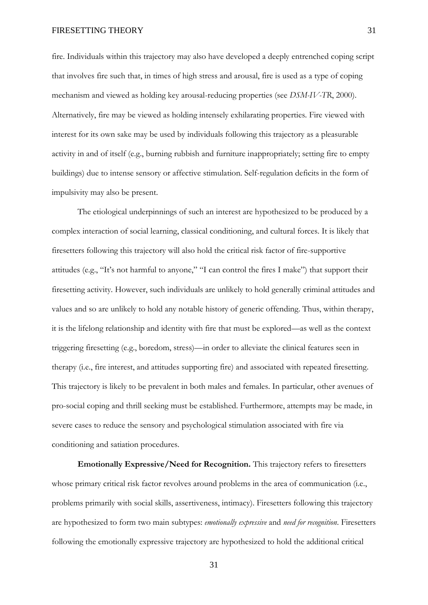fire. Individuals within this trajectory may also have developed a deeply entrenched coping script that involves fire such that, in times of high stress and arousal, fire is used as a type of coping mechanism and viewed as holding key arousal-reducing properties (see *DSM-IV-TR*, 2000). Alternatively, fire may be viewed as holding intensely exhilarating properties. Fire viewed with interest for its own sake may be used by individuals following this trajectory as a pleasurable activity in and of itself (e.g., burning rubbish and furniture inappropriately; setting fire to empty buildings) due to intense sensory or affective stimulation. Self-regulation deficits in the form of impulsivity may also be present.

The etiological underpinnings of such an interest are hypothesized to be produced by a complex interaction of social learning, classical conditioning, and cultural forces. It is likely that firesetters following this trajectory will also hold the critical risk factor of fire-supportive attitudes (e.g., "It's not harmful to anyone," "I can control the fires I make") that support their firesetting activity. However, such individuals are unlikely to hold generally criminal attitudes and values and so are unlikely to hold any notable history of generic offending. Thus, within therapy, it is the lifelong relationship and identity with fire that must be explored—as well as the context triggering firesetting (e.g., boredom, stress)—in order to alleviate the clinical features seen in therapy (i.e., fire interest, and attitudes supporting fire) and associated with repeated firesetting. This trajectory is likely to be prevalent in both males and females. In particular, other avenues of pro-social coping and thrill seeking must be established. Furthermore, attempts may be made, in severe cases to reduce the sensory and psychological stimulation associated with fire via conditioning and satiation procedures.

**Emotionally Expressive/Need for Recognition.** This trajectory refers to firesetters whose primary critical risk factor revolves around problems in the area of communication (i.e., problems primarily with social skills, assertiveness, intimacy). Firesetters following this trajectory are hypothesized to form two main subtypes: *emotionally expressive* and *need for recognition*. Firesetters following the emotionally expressive trajectory are hypothesized to hold the additional critical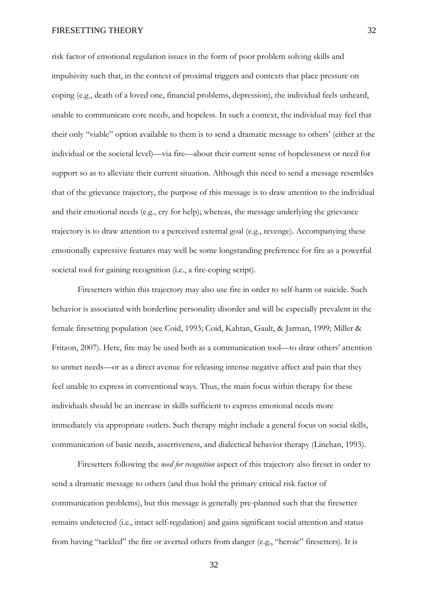risk factor of emotional regulation issues in the form of poor problem solving skills and impulsivity such that, in the context of proximal triggers and contexts that place pressure on coping (e.g., death of a loved one, financial problems, depression), the individual feels unheard, unable to communicate core needs, and hopeless. In such a context, the individual may feel that their only "viable" option available to them is to send a dramatic message to others' (either at the individual or the societal level)—via fire—about their current sense of hopelessness or need for support so as to alleviate their current situation. Although this need to send a message resembles that of the grievance trajectory, the purpose of this message is to draw attention to the individual and their emotional needs (e.g., cry for help); whereas, the message underlying the grievance trajectory is to draw attention to a perceived external goal (e.g., revenge). Accompanying these emotionally expressive features may well be some longstanding preference for fire as a powerful societal tool for gaining recognition (i.e., a fire-coping script).

Firesetters within this trajectory may also use fire in order to self-harm or suicide. Such behavior is associated with borderline personality disorder and will be especially prevalent in the female firesetting population (see Coid, 1993; Coid, Kahtan, Gault, & Jarman, 1999; Miller & Fritzon, 2007). Here, fire may be used both as a communication tool—to draw others' attention to unmet needs—or as a direct avenue for releasing intense negative affect and pain that they feel unable to express in conventional ways. Thus, the main focus within therapy for these individuals should be an increase in skills sufficient to express emotional needs more immediately via appropriate outlets. Such therapy might include a general focus on social skills, communication of basic needs, assertiveness, and dialectical behavior therapy (Linehan, 1993).

 Firesetters following the *need for recognition* aspect of this trajectory also fireset in order to send a dramatic message to others (and thus hold the primary critical risk factor of communication problems), but this message is generally pre-planned such that the firesetter remains undetected (i.e., intact self-regulation) and gains significant social attention and status from having "tackled" the fire or averted others from danger (e.g., "heroic" firesetters). It is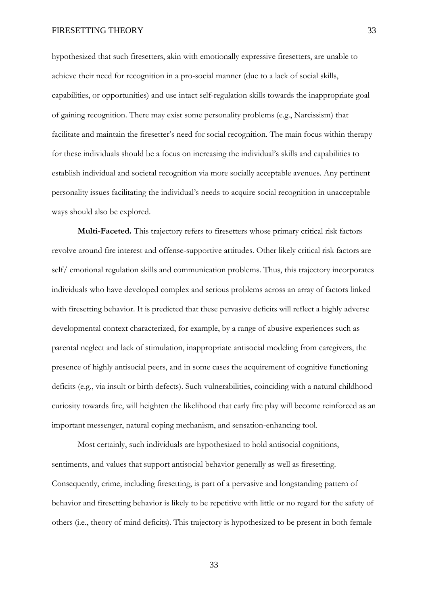hypothesized that such firesetters, akin with emotionally expressive firesetters, are unable to achieve their need for recognition in a pro-social manner (due to a lack of social skills, capabilities, or opportunities) and use intact self-regulation skills towards the inappropriate goal of gaining recognition. There may exist some personality problems (e.g., Narcissism) that facilitate and maintain the firesetter's need for social recognition. The main focus within therapy for these individuals should be a focus on increasing the individual's skills and capabilities to establish individual and societal recognition via more socially acceptable avenues. Any pertinent personality issues facilitating the individual's needs to acquire social recognition in unacceptable ways should also be explored.

**Multi-Faceted.** This trajectory refers to firesetters whose primary critical risk factors revolve around fire interest and offense-supportive attitudes. Other likely critical risk factors are self/ emotional regulation skills and communication problems. Thus, this trajectory incorporates individuals who have developed complex and serious problems across an array of factors linked with firesetting behavior. It is predicted that these pervasive deficits will reflect a highly adverse developmental context characterized, for example, by a range of abusive experiences such as parental neglect and lack of stimulation, inappropriate antisocial modeling from caregivers, the presence of highly antisocial peers, and in some cases the acquirement of cognitive functioning deficits (e.g., via insult or birth defects). Such vulnerabilities, coinciding with a natural childhood curiosity towards fire, will heighten the likelihood that early fire play will become reinforced as an important messenger, natural coping mechanism, and sensation-enhancing tool.

Most certainly, such individuals are hypothesized to hold antisocial cognitions, sentiments, and values that support antisocial behavior generally as well as firesetting. Consequently, crime, including firesetting, is part of a pervasive and longstanding pattern of behavior and firesetting behavior is likely to be repetitive with little or no regard for the safety of others (i.e., theory of mind deficits). This trajectory is hypothesized to be present in both female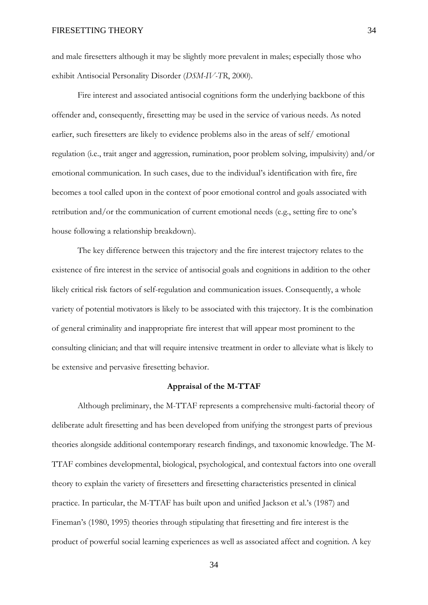and male firesetters although it may be slightly more prevalent in males; especially those who exhibit Antisocial Personality Disorder (*DSM-IV-TR*, 2000).

Fire interest and associated antisocial cognitions form the underlying backbone of this offender and, consequently, firesetting may be used in the service of various needs. As noted earlier, such firesetters are likely to evidence problems also in the areas of self/ emotional regulation (i.e., trait anger and aggression, rumination, poor problem solving, impulsivity) and/or emotional communication. In such cases, due to the individual's identification with fire, fire becomes a tool called upon in the context of poor emotional control and goals associated with retribution and/or the communication of current emotional needs (e.g., setting fire to one's house following a relationship breakdown).

The key difference between this trajectory and the fire interest trajectory relates to the existence of fire interest in the service of antisocial goals and cognitions in addition to the other likely critical risk factors of self-regulation and communication issues. Consequently, a whole variety of potential motivators is likely to be associated with this trajectory. It is the combination of general criminality and inappropriate fire interest that will appear most prominent to the consulting clinician; and that will require intensive treatment in order to alleviate what is likely to be extensive and pervasive firesetting behavior.

#### **Appraisal of the M-TTAF**

 Although preliminary, the M-TTAF represents a comprehensive multi-factorial theory of deliberate adult firesetting and has been developed from unifying the strongest parts of previous theories alongside additional contemporary research findings, and taxonomic knowledge. The M-TTAF combines developmental, biological, psychological, and contextual factors into one overall theory to explain the variety of firesetters and firesetting characteristics presented in clinical practice. In particular, the M-TTAF has built upon and unified Jackson et al.'s (1987) and Fineman's (1980, 1995) theories through stipulating that firesetting and fire interest is the product of powerful social learning experiences as well as associated affect and cognition. A key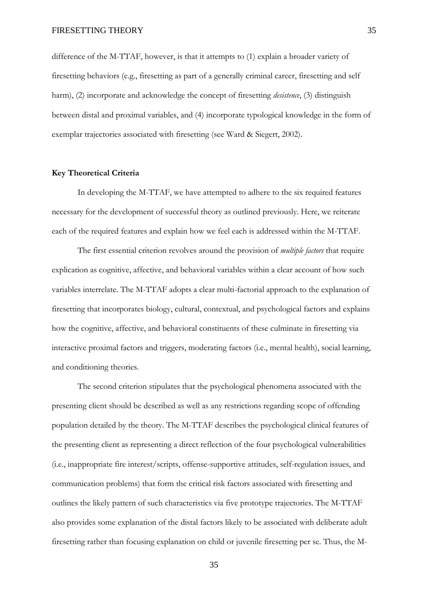difference of the M-TTAF, however, is that it attempts to (1) explain a broader variety of firesetting behaviors (e.g., firesetting as part of a generally criminal career, firesetting and self harm), (2) incorporate and acknowledge the concept of firesetting *desistence*, (3) distinguish between distal and proximal variables, and (4) incorporate typological knowledge in the form of exemplar trajectories associated with firesetting (see Ward & Siegert, 2002).

#### **Key Theoretical Criteria**

 In developing the M-TTAF, we have attempted to adhere to the six required features necessary for the development of successful theory as outlined previously. Here, we reiterate each of the required features and explain how we feel each is addressed within the M-TTAF.

 The first essential criterion revolves around the provision of *multiple factors* that require explication as cognitive, affective, and behavioral variables within a clear account of how such variables interrelate. The M-TTAF adopts a clear multi-factorial approach to the explanation of firesetting that incorporates biology, cultural, contextual, and psychological factors and explains how the cognitive, affective, and behavioral constituents of these culminate in firesetting via interactive proximal factors and triggers, moderating factors (i.e., mental health), social learning, and conditioning theories.

The second criterion stipulates that the psychological phenomena associated with the presenting client should be described as well as any restrictions regarding scope of offending population detailed by the theory. The M-TTAF describes the psychological clinical features of the presenting client as representing a direct reflection of the four psychological vulnerabilities (i.e., inappropriate fire interest/scripts, offense-supportive attitudes, self-regulation issues, and communication problems) that form the critical risk factors associated with firesetting and outlines the likely pattern of such characteristics via five prototype trajectories. The M-TTAF also provides some explanation of the distal factors likely to be associated with deliberate adult firesetting rather than focusing explanation on child or juvenile firesetting per se. Thus, the M-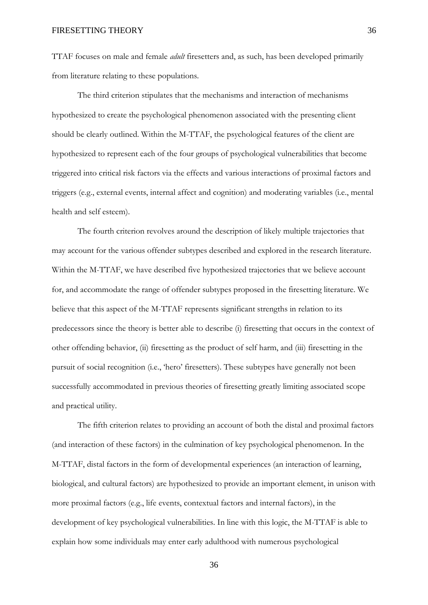TTAF focuses on male and female *adult* firesetters and, as such, has been developed primarily from literature relating to these populations.

The third criterion stipulates that the mechanisms and interaction of mechanisms hypothesized to create the psychological phenomenon associated with the presenting client should be clearly outlined. Within the M-TTAF, the psychological features of the client are hypothesized to represent each of the four groups of psychological vulnerabilities that become triggered into critical risk factors via the effects and various interactions of proximal factors and triggers (e.g., external events, internal affect and cognition) and moderating variables (i.e., mental health and self esteem).

The fourth criterion revolves around the description of likely multiple trajectories that may account for the various offender subtypes described and explored in the research literature. Within the M-TTAF, we have described five hypothesized trajectories that we believe account for, and accommodate the range of offender subtypes proposed in the firesetting literature. We believe that this aspect of the M-TTAF represents significant strengths in relation to its predecessors since the theory is better able to describe (i) firesetting that occurs in the context of other offending behavior, (ii) firesetting as the product of self harm, and (iii) firesetting in the pursuit of social recognition (i.e., 'hero' firesetters). These subtypes have generally not been successfully accommodated in previous theories of firesetting greatly limiting associated scope and practical utility.

The fifth criterion relates to providing an account of both the distal and proximal factors (and interaction of these factors) in the culmination of key psychological phenomenon. In the M-TTAF, distal factors in the form of developmental experiences (an interaction of learning, biological, and cultural factors) are hypothesized to provide an important element, in unison with more proximal factors (e.g., life events, contextual factors and internal factors), in the development of key psychological vulnerabilities. In line with this logic, the M-TTAF is able to explain how some individuals may enter early adulthood with numerous psychological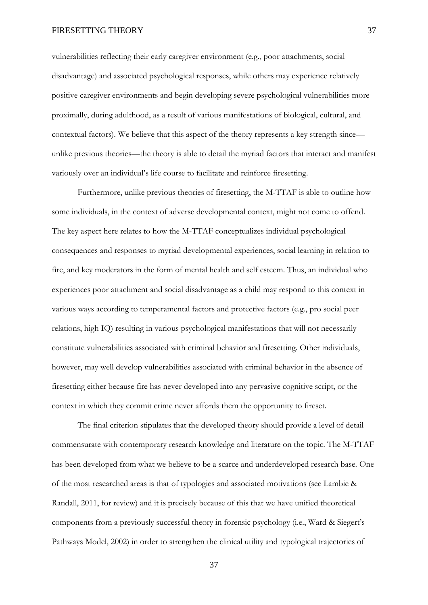vulnerabilities reflecting their early caregiver environment (e.g., poor attachments, social disadvantage) and associated psychological responses, while others may experience relatively positive caregiver environments and begin developing severe psychological vulnerabilities more proximally, during adulthood, as a result of various manifestations of biological, cultural, and contextual factors). We believe that this aspect of the theory represents a key strength since unlike previous theories—the theory is able to detail the myriad factors that interact and manifest variously over an individual's life course to facilitate and reinforce firesetting.

Furthermore, unlike previous theories of firesetting, the M-TTAF is able to outline how some individuals, in the context of adverse developmental context, might not come to offend. The key aspect here relates to how the M-TTAF conceptualizes individual psychological consequences and responses to myriad developmental experiences, social learning in relation to fire, and key moderators in the form of mental health and self esteem. Thus, an individual who experiences poor attachment and social disadvantage as a child may respond to this context in various ways according to temperamental factors and protective factors (e.g., pro social peer relations, high IQ) resulting in various psychological manifestations that will not necessarily constitute vulnerabilities associated with criminal behavior and firesetting. Other individuals, however, may well develop vulnerabilities associated with criminal behavior in the absence of firesetting either because fire has never developed into any pervasive cognitive script, or the context in which they commit crime never affords them the opportunity to fireset.

The final criterion stipulates that the developed theory should provide a level of detail commensurate with contemporary research knowledge and literature on the topic. The M-TTAF has been developed from what we believe to be a scarce and underdeveloped research base. One of the most researched areas is that of typologies and associated motivations (see Lambie & Randall, 2011, for review) and it is precisely because of this that we have unified theoretical components from a previously successful theory in forensic psychology (i.e., Ward & Siegert's Pathways Model, 2002) in order to strengthen the clinical utility and typological trajectories of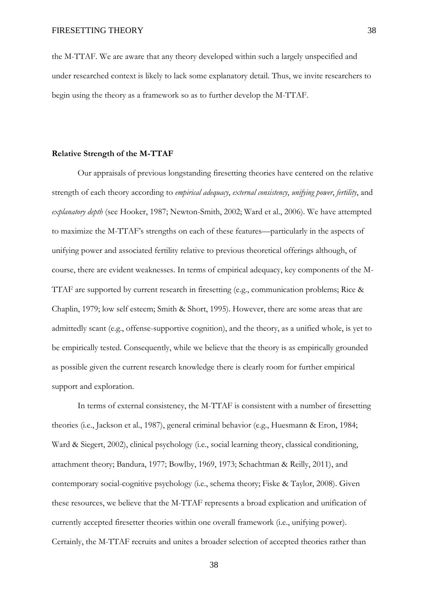the M-TTAF. We are aware that any theory developed within such a largely unspecified and under researched context is likely to lack some explanatory detail. Thus, we invite researchers to begin using the theory as a framework so as to further develop the M-TTAF.

#### **Relative Strength of the M-TTAF**

 Our appraisals of previous longstanding firesetting theories have centered on the relative strength of each theory according to *empirical adequacy*, *external consistency*, *unifying power*, *fertility*, and *explanatory depth* (see Hooker, 1987; Newton-Smith, 2002; Ward et al., 2006). We have attempted to maximize the M-TTAF's strengths on each of these features—particularly in the aspects of unifying power and associated fertility relative to previous theoretical offerings although, of course, there are evident weaknesses. In terms of empirical adequacy, key components of the M-TTAF are supported by current research in firesetting (e.g., communication problems; Rice & Chaplin, 1979; low self esteem; Smith & Short, 1995). However, there are some areas that are admittedly scant (e.g., offense-supportive cognition), and the theory, as a unified whole, is yet to be empirically tested. Consequently, while we believe that the theory is as empirically grounded as possible given the current research knowledge there is clearly room for further empirical support and exploration.

In terms of external consistency, the M-TTAF is consistent with a number of firesetting theories (i.e., Jackson et al., 1987), general criminal behavior (e.g., Huesmann & Eron, 1984; Ward & Siegert, 2002), clinical psychology (i.e., social learning theory, classical conditioning, attachment theory; Bandura, 1977; Bowlby, 1969, 1973; Schachtman & Reilly, 2011), and contemporary social-cognitive psychology (i.e., schema theory; Fiske & Taylor, 2008). Given these resources, we believe that the M-TTAF represents a broad explication and unification of currently accepted firesetter theories within one overall framework (i.e., unifying power). Certainly, the M-TTAF recruits and unites a broader selection of accepted theories rather than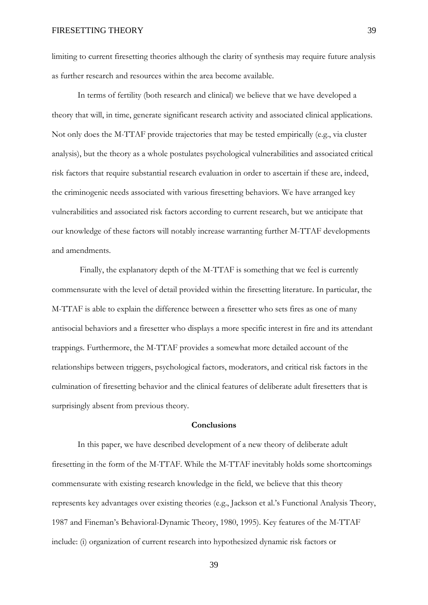limiting to current firesetting theories although the clarity of synthesis may require future analysis as further research and resources within the area become available.

In terms of fertility (both research and clinical) we believe that we have developed a theory that will, in time, generate significant research activity and associated clinical applications. Not only does the M-TTAF provide trajectories that may be tested empirically (e.g., via cluster analysis), but the theory as a whole postulates psychological vulnerabilities and associated critical risk factors that require substantial research evaluation in order to ascertain if these are, indeed, the criminogenic needs associated with various firesetting behaviors. We have arranged key vulnerabilities and associated risk factors according to current research, but we anticipate that our knowledge of these factors will notably increase warranting further M-TTAF developments and amendments.

 Finally, the explanatory depth of the M-TTAF is something that we feel is currently commensurate with the level of detail provided within the firesetting literature. In particular, the M-TTAF is able to explain the difference between a firesetter who sets fires as one of many antisocial behaviors and a firesetter who displays a more specific interest in fire and its attendant trappings. Furthermore, the M-TTAF provides a somewhat more detailed account of the relationships between triggers, psychological factors, moderators, and critical risk factors in the culmination of firesetting behavior and the clinical features of deliberate adult firesetters that is surprisingly absent from previous theory.

#### **Conclusions**

In this paper, we have described development of a new theory of deliberate adult firesetting in the form of the M-TTAF. While the M-TTAF inevitably holds some shortcomings commensurate with existing research knowledge in the field, we believe that this theory represents key advantages over existing theories (e.g., Jackson et al.'s Functional Analysis Theory, 1987 and Fineman's Behavioral-Dynamic Theory, 1980, 1995). Key features of the M-TTAF include: (i) organization of current research into hypothesized dynamic risk factors or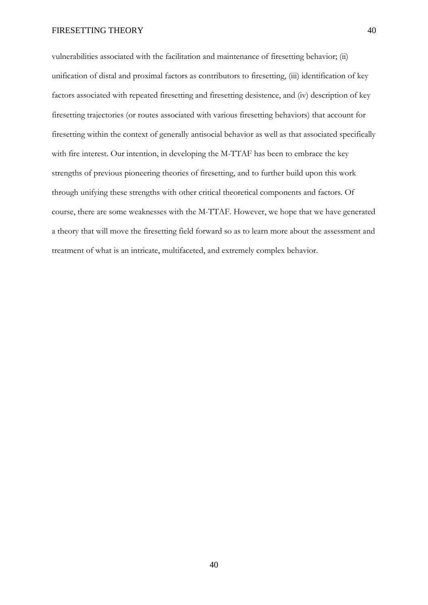vulnerabilities associated with the facilitation and maintenance of firesetting behavior; (ii) unification of distal and proximal factors as contributors to firesetting, (iii) identification of key factors associated with repeated firesetting and firesetting desistence, and (iv) description of key firesetting trajectories (or routes associated with various firesetting behaviors) that account for firesetting within the context of generally antisocial behavior as well as that associated specifically with fire interest. Our intention, in developing the M-TTAF has been to embrace the key strengths of previous pioneering theories of firesetting, and to further build upon this work through unifying these strengths with other critical theoretical components and factors. Of course, there are some weaknesses with the M-TTAF. However, we hope that we have generated a theory that will move the firesetting field forward so as to learn more about the assessment and treatment of what is an intricate, multifaceted, and extremely complex behavior.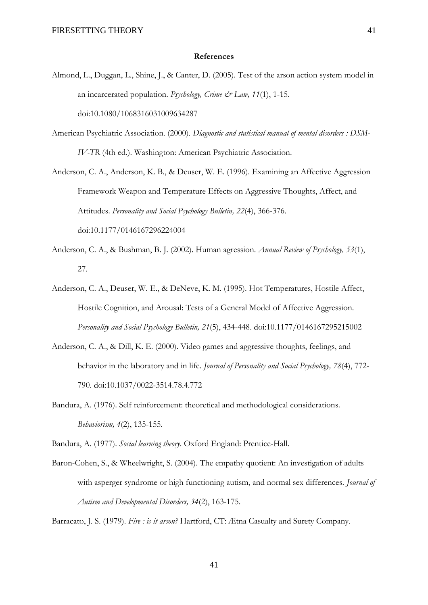#### **References**

- Almond, L., Duggan, L., Shine, J., & Canter, D. (2005). Test of the arson action system model in an incarcerated population. *Psychology, Crime & Law, 11*(1), 1-15. doi:10.1080/1068316031009634287
- American Psychiatric Association. (2000). *Diagnostic and statistical manual of mental disorders : DSM-IV-TR* (4th ed.). Washington: American Psychiatric Association.
- Anderson, C. A., Anderson, K. B., & Deuser, W. E. (1996). Examining an Affective Aggression Framework Weapon and Temperature Effects on Aggressive Thoughts, Affect, and Attitudes. *Personality and Social Psychology Bulletin, 22*(4), 366-376. doi:10.1177/0146167296224004
- Anderson, C. A., & Bushman, B. J. (2002). Human agression. *Annual Review of Psychology, 53*(1), 27.
- Anderson, C. A., Deuser, W. E., & DeNeve, K. M. (1995). Hot Temperatures, Hostile Affect, Hostile Cognition, and Arousal: Tests of a General Model of Affective Aggression. *Personality and Social Psychology Bulletin, 21*(5), 434-448. doi:10.1177/0146167295215002
- Anderson, C. A., & Dill, K. E. (2000). Video games and aggressive thoughts, feelings, and behavior in the laboratory and in life. *Journal of Personality and Social Psychology, 78*(4), 772- 790. doi:10.1037/0022-3514.78.4.772
- Bandura, A. (1976). Self reinforcement: theoretical and methodological considerations. *Behaviorism, 4*(2), 135-155.

Bandura, A. (1977). *Social learning theory*. Oxford England: Prentice-Hall.

Baron-Cohen, S., & Wheelwright, S. (2004). The empathy quotient: An investigation of adults with asperger syndrome or high functioning autism, and normal sex differences. *Journal of Autism and Developmental Disorders, 34*(2), 163-175.

Barracato, J. S. (1979). *Fire : is it arson?* Hartford, CT: Ætna Casualty and Surety Company.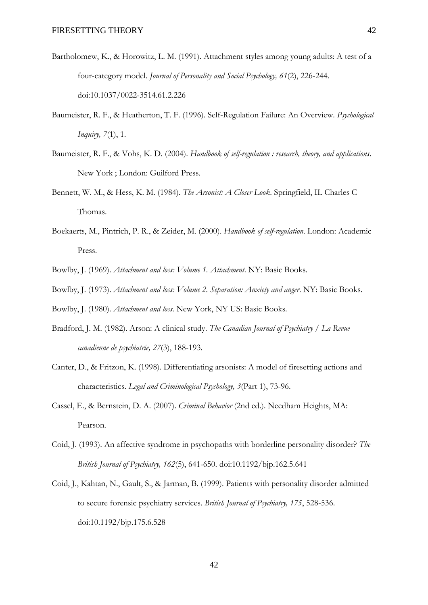- Bartholomew, K., & Horowitz, L. M. (1991). Attachment styles among young adults: A test of a four-category model. *Journal of Personality and Social Psychology, 61*(2), 226-244. doi:10.1037/0022-3514.61.2.226
- Baumeister, R. F., & Heatherton, T. F. (1996). Self-Regulation Failure: An Overview. *Psychological Inquiry, 7*(1), 1.
- Baumeister, R. F., & Vohs, K. D. (2004). *Handbook of self-regulation : research, theory, and applications*. New York ; London: Guilford Press.
- Bennett, W. M., & Hess, K. M. (1984). *The Arsonist: A Closer Look*. Springfield, IL Charles C Thomas.
- Boekaerts, M., Pintrich, P. R., & Zeider, M. (2000). *Handbook of self-regulation*. London: Academic Press.
- Bowlby, J. (1969). *Attachment and loss: Volume 1. Attachment*. NY: Basic Books.
- Bowlby, J. (1973). *Attachment and loss: Volume 2. Separation: Anxiety and anger*. NY: Basic Books.
- Bowlby, J. (1980). *Attachment and loss*. New York, NY US: Basic Books.
- Bradford, J. M. (1982). Arson: A clinical study. *The Canadian Journal of Psychiatry / La Revue canadienne de psychiatrie, 27*(3), 188-193.
- Canter, D., & Fritzon, K. (1998). Differentiating arsonists: A model of firesetting actions and characteristics. *Legal and Criminological Psychology, 3*(Part 1), 73-96.
- Cassel, E., & Bernstein, D. A. (2007). *Criminal Behavior* (2nd ed.). Needham Heights, MA: Pearson.
- Coid, J. (1993). An affective syndrome in psychopaths with borderline personality disorder? *The British Journal of Psychiatry, 162*(5), 641-650. doi:10.1192/bjp.162.5.641
- Coid, J., Kahtan, N., Gault, S., & Jarman, B. (1999). Patients with personality disorder admitted to secure forensic psychiatry services. *British Journal of Psychiatry, 175*, 528-536. doi:10.1192/bjp.175.6.528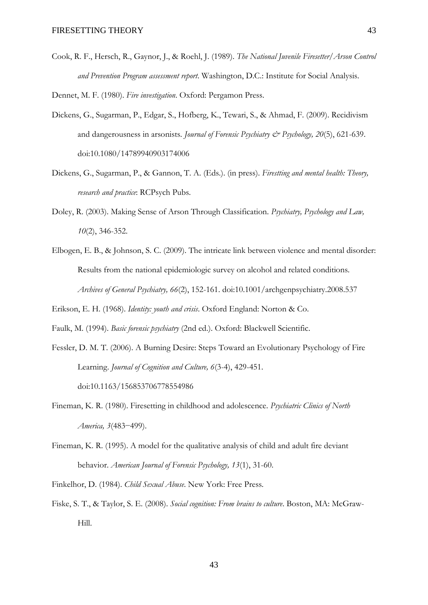Cook, R. F., Hersch, R., Gaynor, J., & Roehl, J. (1989). *The National Juvenile Firesetter/Arson Control and Prevention Program assessment report*. Washington, D.C.: Institute for Social Analysis.

Dennet, M. F. (1980). *Fire investigation*. Oxford: Pergamon Press.

- Dickens, G., Sugarman, P., Edgar, S., Hofberg, K., Tewari, S., & Ahmad, F. (2009). Recidivism and dangerousness in arsonists. *Journal of Forensic Psychiatry & Psychology, 20*(5), 621-639. doi:10.1080/14789940903174006
- Dickens, G., Sugarman, P., & Gannon, T. A. (Eds.). (in press). *Firestting and mental health: Theory, research and practice*: RCPsych Pubs.
- Doley, R. (2003). Making Sense of Arson Through Classification. *Psychiatry, Psychology and Law, 10*(2), 346-352.
- Elbogen, E. B., & Johnson, S. C. (2009). The intricate link between violence and mental disorder: Results from the national epidemiologic survey on alcohol and related conditions. *Archives of General Psychiatry, 66*(2), 152-161. doi:10.1001/archgenpsychiatry.2008.537

Erikson, E. H. (1968). *Identity: youth and crisis*. Oxford England: Norton & Co.

Faulk, M. (1994). *Basic forensic psychiatry* (2nd ed.). Oxford: Blackwell Scientific.

Fessler, D. M. T. (2006). A Burning Desire: Steps Toward an Evolutionary Psychology of Fire Learning. *Journal of Cognition and Culture, 6*(3-4), 429-451. doi:10.1163/156853706778554986

Fineman, K. R. (1980). Firesetting in childhood and adolescence. *Psychiatric Clinics of North America, 3*(483−499).

- Fineman, K. R. (1995). A model for the qualitative analysis of child and adult fire deviant behavior. *American Journal of Forensic Psychology, 13*(1), 31-60.
- Finkelhor, D. (1984). *Child Sexual Abuse*. New York: Free Press.
- Fiske, S. T., & Taylor, S. E. (2008). *Social cognition: From brains to culture*. Boston, MA: McGraw-Hill.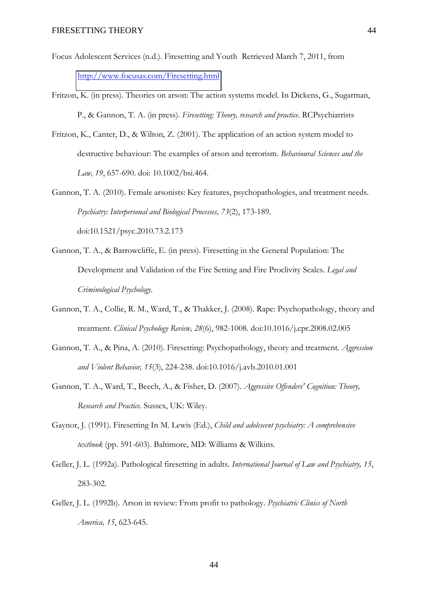- Focus Adolescent Services (n.d.). Firesetting and Youth Retrieved March 7, 2011, from <http://www.focusas.com/Firesetting.html>
- Fritzon, K. (in press). Theories on arson: The action systems model. In Dickens, G., Sugarman, P., & Gannon, T. A. (in press). *Firesetting: Theory, research and practice*. RCPsychiatrists
- Fritzon, K., Canter, D., & Wilton, Z. (2001). The application of an action system model to destructive behaviour: The examples of arson and terrorism. *Behavioural Sciences and the Law, 19*, 657-690. doi: 10.1002/bsi.464.
- Gannon, T. A. (2010). Female arsonists: Key features, psychopathologies, and treatment needs. *Psychiatry: Interpersonal and Biological Processes, 73*(2), 173-189. doi:10.1521/psyc.2010.73.2.173
- Gannon, T. A., & Barrowcliffe, E. (in press). Firesetting in the General Population: The Development and Validation of the Fire Setting and Fire Proclivity Scales. *Legal and Criminological Psychology*.
- Gannon, T. A., Collie, R. M., Ward, T., & Thakker, J. (2008). Rape: Psychopathology, theory and treatment. *Clinical Psychology Review, 28*(6), 982-1008. doi:10.1016/j.cpr.2008.02.005
- Gannon, T. A., & Pina, A. (2010). Firesetting: Psychopathology, theory and treatment. *Aggression and Violent Behavior, 15*(3), 224-238. doi:10.1016/j.avb.2010.01.001
- Gannon, T. A., Ward, T., Beech, A., & Fisher, D. (2007). *Aggressive Offenders' Cognition: Theory, Research and Practice*. Sussex, UK: Wiley.
- Gaynor, J. (1991). Firesetting In M. Lewis (Ed.), *Child and adolescent psychiatry: A comprehensive textbook* (pp. 591-603). Baltimore, MD: Williams & Wilkins.
- Geller, J. L. (1992a). Pathological firesetting in adults. *International Journal of Law and Psychiatry, 15*, 283-302.
- Geller, J. L. (1992b). Arson in review: From profit to pathology. *Psychiatric Clinics of North America, 15*, 623-645.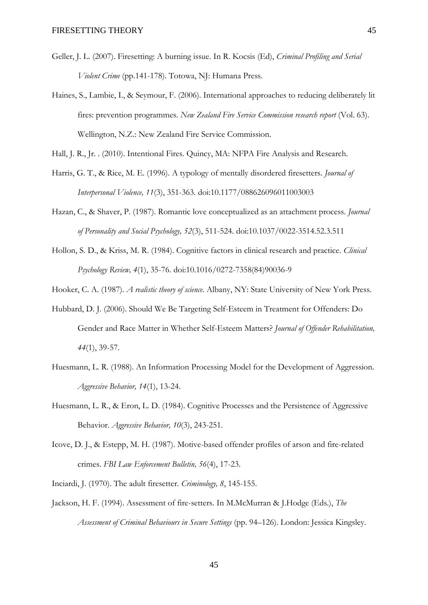- Geller, J. L. (2007). Firesetting: A burning issue. In R. Kocsis (Ed), *Criminal Profiling and Serial Violent Crime* (pp.141-178). Totowa, NJ: Humana Press.
- Haines, S., Lambie, I., & Seymour, F. (2006). International approaches to reducing deliberately lit fires: prevention programmes. *New Zealand Fire Service Commission research report* (Vol. 63). Wellington, N.Z.: New Zealand Fire Service Commission.
- Hall, J. R., Jr. . (2010). Intentional Fires. Quincy, MA: NFPA Fire Analysis and Research.
- Harris, G. T., & Rice, M. E. (1996). A typology of mentally disordered firesetters. *Journal of Interpersonal Violence, 11*(3), 351-363. doi:10.1177/088626096011003003
- Hazan, C., & Shaver, P. (1987). Romantic love conceptualized as an attachment process. *Journal of Personality and Social Psychology, 52*(3), 511-524. doi:10.1037/0022-3514.52.3.511
- Hollon, S. D., & Kriss, M. R. (1984). Cognitive factors in clinical research and practice. *Clinical Psychology Review, 4*(1), 35-76. doi:10.1016/0272-7358(84)90036-9

Hooker, C. A. (1987). *A realistic theory of science*. Albany, NY: State University of New York Press.

- Hubbard, D. J. (2006). Should We Be Targeting Self-Esteem in Treatment for Offenders: Do Gender and Race Matter in Whether Self-Esteem Matters? *Journal of Offender Rehabilitation, 44*(1), 39-57.
- Huesmann, L. R. (1988). An Information Processing Model for the Development of Aggression. *Aggressive Behavior, 14*(1), 13-24.
- Huesmann, L. R., & Eron, L. D. (1984). Cognitive Processes and the Persistence of Aggressive Behavior. *Aggressive Behavior, 10*(3), 243-251.
- Icove, D. J., & Estepp, M. H. (1987). Motive-based offender profiles of arson and fire-related crimes. *FBI Law Enforcement Bulletin, 56*(4), 17-23.

Inciardi, J. (1970). The adult firesetter. *Criminology, 8*, 145-155.

Jackson, H. F. (1994). Assessment of fire-setters. In M.McMurran & J.Hodge (Eds.), *The Assessment of Criminal Behaviours in Secure Settings* (pp. 94–126). London: Jessica Kingsley.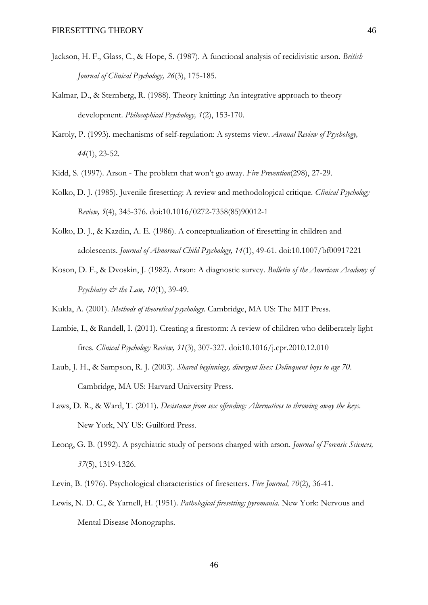- Jackson, H. F., Glass, C., & Hope, S. (1987). A functional analysis of recidivistic arson. *British Journal of Clinical Psychology, 26*(3), 175-185.
- Kalmar, D., & Sternberg, R. (1988). Theory knitting: An integrative approach to theory development. *Philosophical Psychology, 1*(2), 153-170.
- Karoly, P. (1993). mechanisms of self-regulation: A systems view. *Annual Review of Psychology, 44*(1), 23-52.
- Kidd, S. (1997). Arson The problem that won't go away. *Fire Prevention*(298), 27-29.
- Kolko, D. J. (1985). Juvenile firesetting: A review and methodological critique. *Clinical Psychology Review, 5*(4), 345-376. doi:10.1016/0272-7358(85)90012-1
- Kolko, D. J., & Kazdin, A. E. (1986). A conceptualization of firesetting in children and adolescents. *Journal of Abnormal Child Psychology, 14*(1), 49-61. doi:10.1007/bf00917221
- Koson, D. F., & Dvoskin, J. (1982). Arson: A diagnostic survey. *Bulletin of the American Academy of Psychiatry & the Law, 10*(1), 39-49.

Kukla, A. (2001). *Methods of theoretical psychology*. Cambridge, MA US: The MIT Press.

- Lambie, I., & Randell, I. (2011). Creating a firestorm: A review of children who deliberately light fires. *Clinical Psychology Review, 31*(3), 307-327. doi:10.1016/j.cpr.2010.12.010
- Laub, J. H., & Sampson, R. J. (2003). *Shared beginnings, divergent lives: Delinquent boys to age 70*. Cambridge, MA US: Harvard University Press.
- Laws, D. R., & Ward, T. (2011). *Desistance from sex offending: Alternatives to throwing away the keys*. New York, NY US: Guilford Press.
- Leong, G. B. (1992). A psychiatric study of persons charged with arson. *Journal of Forensic Sciences, 37*(5), 1319-1326.
- Levin, B. (1976). Psychological characteristics of firesetters. *Fire Journal, 70*(2), 36-41.
- Lewis, N. D. C., & Yarnell, H. (1951). *Pathological firesetting; pyromania*. New York: Nervous and Mental Disease Monographs.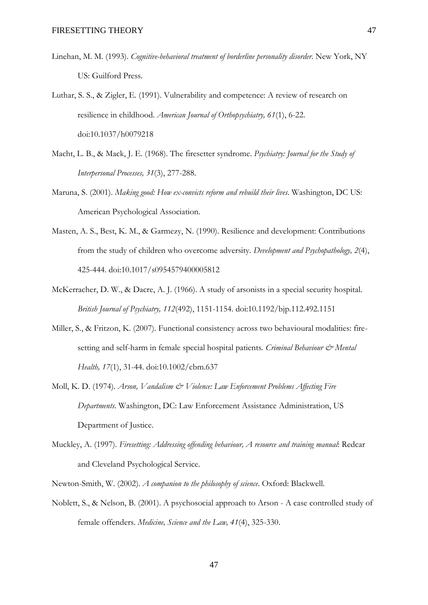Linehan, M. M. (1993). *Cognitive-behavioral treatment of borderline personality disorder*. New York, NY US: Guilford Press.

Luthar, S. S., & Zigler, E. (1991). Vulnerability and competence: A review of research on resilience in childhood. *American Journal of Orthopsychiatry, 61*(1), 6-22. doi:10.1037/h0079218

- Macht, L. B., & Mack, J. E. (1968). The firesetter syndrome. *Psychiatry: Journal for the Study of Interpersonal Processes, 31*(3), 277-288.
- Maruna, S. (2001). *Making good: How ex-convicts reform and rebuild their lives*. Washington, DC US: American Psychological Association.
- Masten, A. S., Best, K. M., & Garmezy, N. (1990). Resilience and development: Contributions from the study of children who overcome adversity. *Development and Psychopathology, 2*(4), 425-444. doi:10.1017/s0954579400005812
- McKerracher, D. W., & Dacre, A. J. (1966). A study of arsonists in a special security hospital. *British Journal of Psychiatry, 112*(492), 1151-1154. doi:10.1192/bjp.112.492.1151
- Miller, S., & Fritzon, K. (2007). Functional consistency across two behavioural modalities: firesetting and self-harm in female special hospital patients. *Criminal Behaviour & Mental Health, 17*(1), 31-44. doi:10.1002/cbm.637
- Moll, K. D. (1974). *Arson, Vandalism & Violence: Law Enforcement Problems Affecting Fire Departments*. Washington, DC: Law Enforcement Assistance Administration, US Department of Justice.
- Muckley, A. (1997). *Firesetting: Addressing offending behaviour, A resource and training manual*: Redcar and Cleveland Psychological Service.
- Newton-Smith, W. (2002). *A companion to the philosophy of science*. Oxford: Blackwell.
- Noblett, S., & Nelson, B. (2001). A psychosocial approach to Arson A case controlled study of female offenders. *Medicine, Science and the Law, 41*(4), 325-330.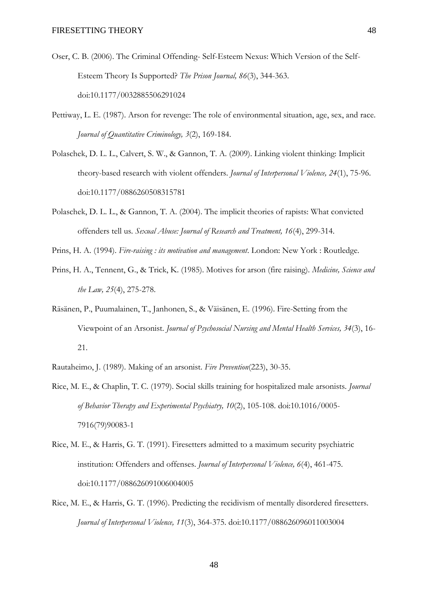- Oser, C. B. (2006). The Criminal Offending- Self-Esteem Nexus: Which Version of the Self-Esteem Theory Is Supported? *The Prison Journal, 86*(3), 344-363. doi:10.1177/0032885506291024
- Pettiway, L. E. (1987). Arson for revenge: The role of environmental situation, age, sex, and race. *Journal of Quantitative Criminology, 3*(2), 169-184.
- Polaschek, D. L. L., Calvert, S. W., & Gannon, T. A. (2009). Linking violent thinking: Implicit theory-based research with violent offenders. *Journal of Interpersonal Violence, 24*(1), 75-96. doi:10.1177/0886260508315781
- Polaschek, D. L. L., & Gannon, T. A. (2004). The implicit theories of rapists: What convicted offenders tell us. *Sexual Abuse: Journal of Research and Treatment, 16*(4), 299-314.
- Prins, H. A. (1994). *Fire-raising : its motivation and management*. London: New York : Routledge.
- Prins, H. A., Tennent, G., & Trick, K. (1985). Motives for arson (fire raising). *Medicine, Science and the Law, 25*(4), 275-278.
- Räsänen, P., Puumalainen, T., Janhonen, S., & Väisänen, E. (1996). Fire-Setting from the Viewpoint of an Arsonist. *Journal of Psychosocial Nursing and Mental Health Services, 34*(3), 16- 21.
- Rautaheimo, J. (1989). Making of an arsonist. *Fire Prevention*(223), 30-35.
- Rice, M. E., & Chaplin, T. C. (1979). Social skills training for hospitalized male arsonists. *Journal of Behavior Therapy and Experimental Psychiatry, 10*(2), 105-108. doi:10.1016/0005- 7916(79)90083-1
- Rice, M. E., & Harris, G. T. (1991). Firesetters admitted to a maximum security psychiatric institution: Offenders and offenses. *Journal of Interpersonal Violence, 6*(4), 461-475. doi:10.1177/088626091006004005
- Rice, M. E., & Harris, G. T. (1996). Predicting the recidivism of mentally disordered firesetters. *Journal of Interpersonal Violence, 11*(3), 364-375. doi:10.1177/088626096011003004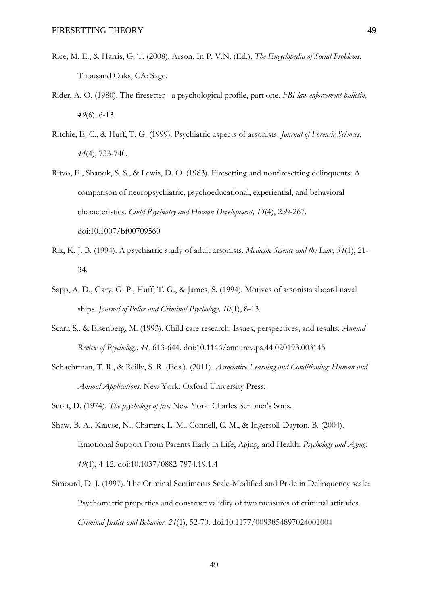- Rice, M. E., & Harris, G. T. (2008). Arson. In P. V.N. (Ed.), *The Encyclopedia of Social Problems*. Thousand Oaks, CA: Sage.
- Rider, A. O. (1980). The firesetter a psychological profile, part one. *FBI law enforcement bulletin, 49*(6), 6-13.
- Ritchie, E. C., & Huff, T. G. (1999). Psychiatric aspects of arsonists. *Journal of Forensic Sciences, 44*(4), 733-740.
- Ritvo, E., Shanok, S. S., & Lewis, D. O. (1983). Firesetting and nonfiresetting delinquents: A comparison of neuropsychiatric, psychoeducational, experiential, and behavioral characteristics. *Child Psychiatry and Human Development, 13*(4), 259-267. doi:10.1007/bf00709560
- Rix, K. J. B. (1994). A psychiatric study of adult arsonists. *Medicine Science and the Law, 34*(1), 21- 34.
- Sapp, A. D., Gary, G. P., Huff, T. G., & James, S. (1994). Motives of arsonists aboard naval ships. *Journal of Police and Criminal Psychology, 10*(1), 8-13.
- Scarr, S., & Eisenberg, M. (1993). Child care research: Issues, perspectives, and results. *Annual Review of Psychology, 44*, 613-644. doi:10.1146/annurev.ps.44.020193.003145
- Schachtman, T. R., & Reilly, S. R. (Eds.). (2011). *Associative Learning and Conditioning: Human and Animal Applications*. New York: Oxford University Press.

Scott, D. (1974). *The psychology of fire*. New York: Charles Scribner's Sons.

- Shaw, B. A., Krause, N., Chatters, L. M., Connell, C. M., & Ingersoll-Dayton, B. (2004). Emotional Support From Parents Early in Life, Aging, and Health. *Psychology and Aging, 19*(1), 4-12. doi:10.1037/0882-7974.19.1.4
- Simourd, D. J. (1997). The Criminal Sentiments Scale-Modified and Pride in Delinquency scale: Psychometric properties and construct validity of two measures of criminal attitudes. *Criminal Justice and Behavior, 24*(1), 52-70. doi:10.1177/0093854897024001004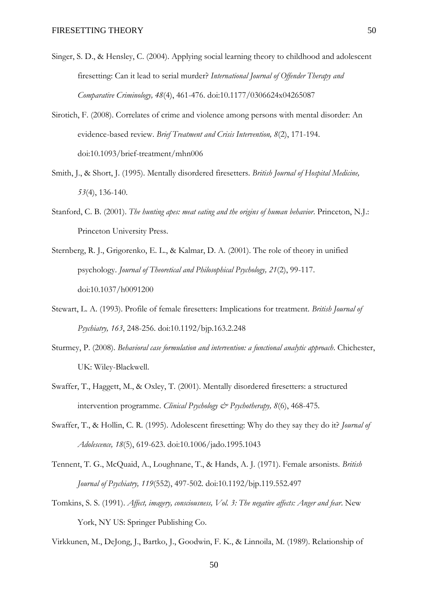- Singer, S. D., & Hensley, C. (2004). Applying social learning theory to childhood and adolescent firesetting: Can it lead to serial murder? *International Journal of Offender Therapy and Comparative Criminology, 48*(4), 461-476. doi:10.1177/0306624x04265087
- Sirotich, F. (2008). Correlates of crime and violence among persons with mental disorder: An evidence-based review. *Brief Treatment and Crisis Intervention, 8*(2), 171-194. doi:10.1093/brief-treatment/mhn006
- Smith, J., & Short, J. (1995). Mentally disordered firesetters. *British Journal of Hospital Medicine, 53*(4), 136-140.
- Stanford, C. B. (2001). *The hunting apes: meat eating and the origins of human behavior*. Princeton, N.J.: Princeton University Press.
- Sternberg, R. J., Grigorenko, E. L., & Kalmar, D. A. (2001). The role of theory in unified psychology. *Journal of Theoretical and Philosophical Psychology, 21*(2), 99-117. doi:10.1037/h0091200
- Stewart, L. A. (1993). Profile of female firesetters: Implications for treatment. *British Journal of Psychiatry, 163*, 248-256. doi:10.1192/bjp.163.2.248
- Sturmey, P. (2008). *Behavioral case formulation and intervention: a functional analytic approach*. Chichester, UK: Wiley-Blackwell.
- Swaffer, T., Haggett, M., & Oxley, T. (2001). Mentally disordered firesetters: a structured intervention programme. *Clinical Psychology & Psychotherapy, 8*(6), 468-475.
- Swaffer, T., & Hollin, C. R. (1995). Adolescent firesetting: Why do they say they do it? *Journal of Adolescence, 18*(5), 619-623. doi:10.1006/jado.1995.1043
- Tennent, T. G., McQuaid, A., Loughnane, T., & Hands, A. J. (1971). Female arsonists. *British Journal of Psychiatry, 119*(552), 497-502. doi:10.1192/bjp.119.552.497
- Tomkins, S. S. (1991). *Affect, imagery, consciousness, Vol. 3: The negative affects: Anger and fear*. New York, NY US: Springer Publishing Co.

Virkkunen, M., DeJong, J., Bartko, J., Goodwin, F. K., & Linnoila, M. (1989). Relationship of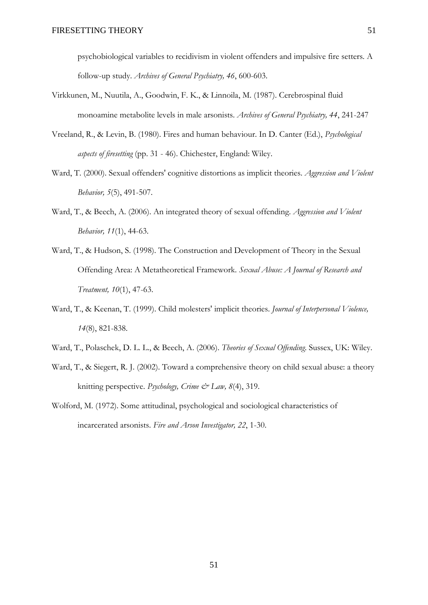psychobiological variables to recidivism in violent offenders and impulsive fire setters. A follow-up study. *Archives of General Psychiatry, 46*, 600-603.

- Virkkunen, M., Nuutila, A., Goodwin, F. K., & Linnoila, M. (1987). Cerebrospinal fluid monoamine metabolite levels in male arsonists. *Archives of General Psychiatry, 44*, 241-247
- Vreeland, R., & Levin, B. (1980). Fires and human behaviour. In D. Canter (Ed.), *Psychological aspects of firesetting* (pp. 31 - 46). Chichester, England: Wiley.
- Ward, T. (2000). Sexual offenders' cognitive distortions as implicit theories. *Aggression and Violent Behavior, 5*(5), 491-507.
- Ward, T., & Beech, A. (2006). An integrated theory of sexual offending. *Aggression and Violent Behavior, 11*(1), 44-63.
- Ward, T., & Hudson, S. (1998). The Construction and Development of Theory in the Sexual Offending Area: A Metatheoretical Framework. *Sexual Abuse: A Journal of Research and Treatment, 10*(1), 47-63.
- Ward, T., & Keenan, T. (1999). Child molesters' implicit theories. *Journal of Interpersonal Violence, 14*(8), 821-838.
- Ward, T., Polaschek, D. L. L., & Beech, A. (2006). *Theories of Sexual Offending*. Sussex, UK: Wiley.
- Ward, T., & Siegert, R. J. (2002). Toward a comprehensive theory on child sexual abuse: a theory knitting perspective. *Psychology, Crime & Law, 8*(4), 319.
- Wolford, M. (1972). Some attitudinal, psychological and sociological characteristics of incarcerated arsonists. *Fire and Arson Investigator, 22*, 1-30.